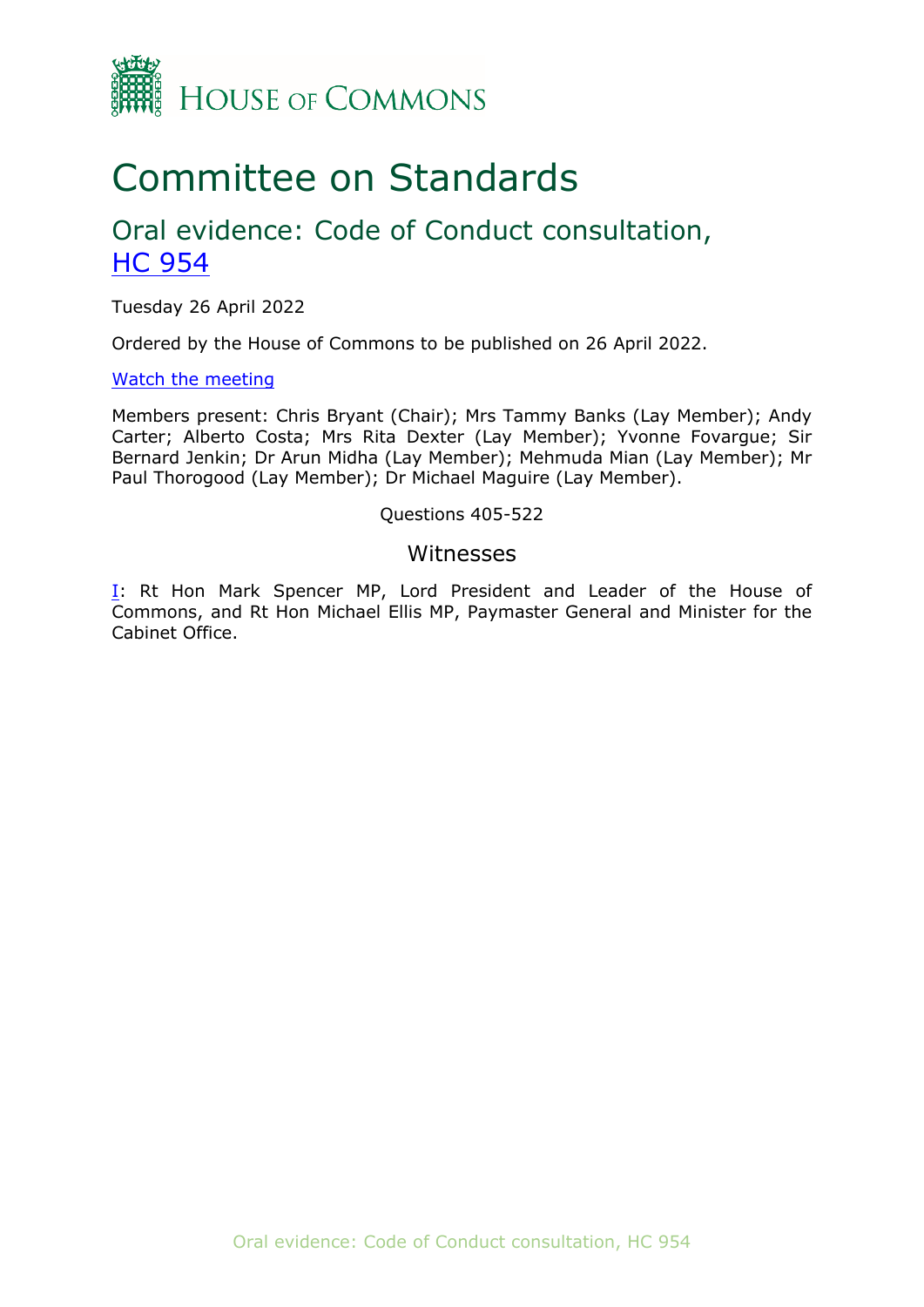

# Committee on Standards

## Oral evidence: Code of Conduct consultation, [HC](https://committees.parliament.uk/work/1670/code-of-conduct-consultation/publications/written-evidence/) [954](https://committees.parliament.uk/work/1670/code-of-conduct-consultation/publications/written-evidence/)

Tuesday 26 April 2022

Ordered by the House of Commons to be published on 26 April 2022.

[Watch](https://parliamentlive.tv/event/index/1a5add8b-95b8-4308-ad93-8416c7240fe2) [the](https://parliamentlive.tv/event/index/1a5add8b-95b8-4308-ad93-8416c7240fe2) [meeting](https://parliamentlive.tv/event/index/1a5add8b-95b8-4308-ad93-8416c7240fe2)

Members present: Chris Bryant (Chair); Mrs Tammy Banks (Lay Member); Andy Carter; Alberto Costa; Mrs Rita Dexter (Lay Member); Yvonne Fovargue; Sir Bernard Jenkin; Dr Arun Midha (Lay Member); Mehmuda Mian (Lay Member); Mr Paul Thorogood (Lay Member); Dr Michael Maguire (Lay Member).

#### Questions 405-522

#### Witnesses

[I:](#page-1-0) Rt Hon Mark Spencer MP, Lord President and Leader of the House of Commons, and Rt Hon Michael Ellis MP, Paymaster General and Minister for the Cabinet Office.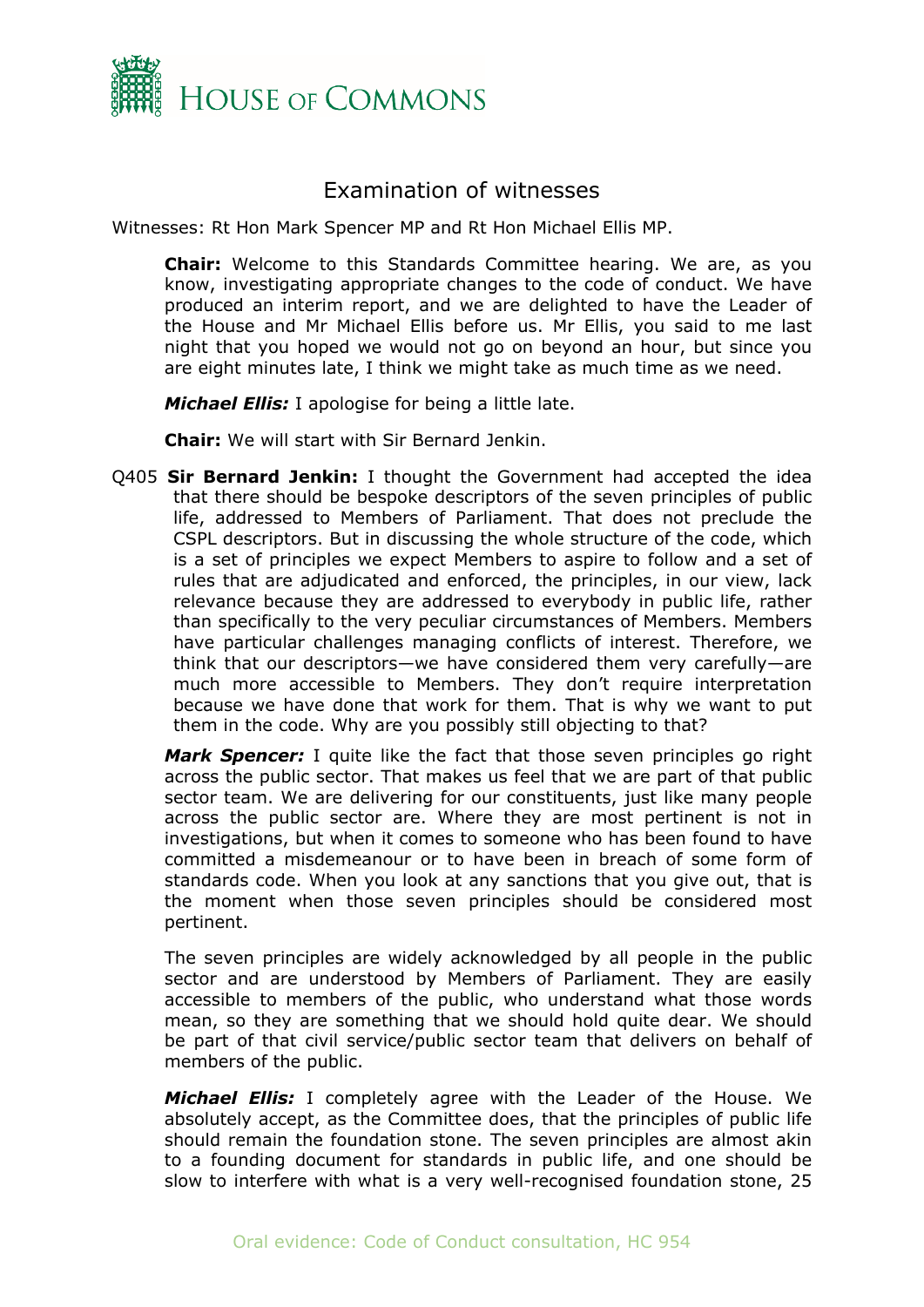

### <span id="page-1-0"></span>Examination of witnesses

Witnesses: Rt Hon Mark Spencer MP and Rt Hon Michael Ellis MP.

**Chair:** Welcome to this Standards Committee hearing. We are, as you know, investigating appropriate changes to the code of conduct. We have produced an interim report, and we are delighted to have the Leader of the House and Mr Michael Ellis before us. Mr Ellis, you said to me last night that you hoped we would not go on beyond an hour, but since you are eight minutes late, I think we might take as much time as we need.

*Michael Ellis:* I apologise for being a little late.

**Chair:** We will start with Sir Bernard Jenkin.

Q405 **Sir Bernard Jenkin:** I thought the Government had accepted the idea that there should be bespoke descriptors of the seven principles of public life, addressed to Members of Parliament. That does not preclude the CSPL descriptors. But in discussing the whole structure of the code, which is a set of principles we expect Members to aspire to follow and a set of rules that are adjudicated and enforced, the principles, in our view, lack relevance because they are addressed to everybody in public life, rather than specifically to the very peculiar circumstances of Members. Members have particular challenges managing conflicts of interest. Therefore, we think that our descriptors—we have considered them very carefully—are much more accessible to Members. They don't require interpretation because we have done that work for them. That is why we want to put them in the code. Why are you possibly still objecting to that?

*Mark Spencer:* I quite like the fact that those seven principles go right across the public sector. That makes us feel that we are part of that public sector team. We are delivering for our constituents, just like many people across the public sector are. Where they are most pertinent is not in investigations, but when it comes to someone who has been found to have committed a misdemeanour or to have been in breach of some form of standards code. When you look at any sanctions that you give out, that is the moment when those seven principles should be considered most pertinent.

The seven principles are widely acknowledged by all people in the public sector and are understood by Members of Parliament. They are easily accessible to members of the public, who understand what those words mean, so they are something that we should hold quite dear. We should be part of that civil service/public sector team that delivers on behalf of members of the public.

*Michael Ellis:* I completely agree with the Leader of the House. We absolutely accept, as the Committee does, that the principles of public life should remain the foundation stone. The seven principles are almost akin to a founding document for standards in public life, and one should be slow to interfere with what is a very well-recognised foundation stone, 25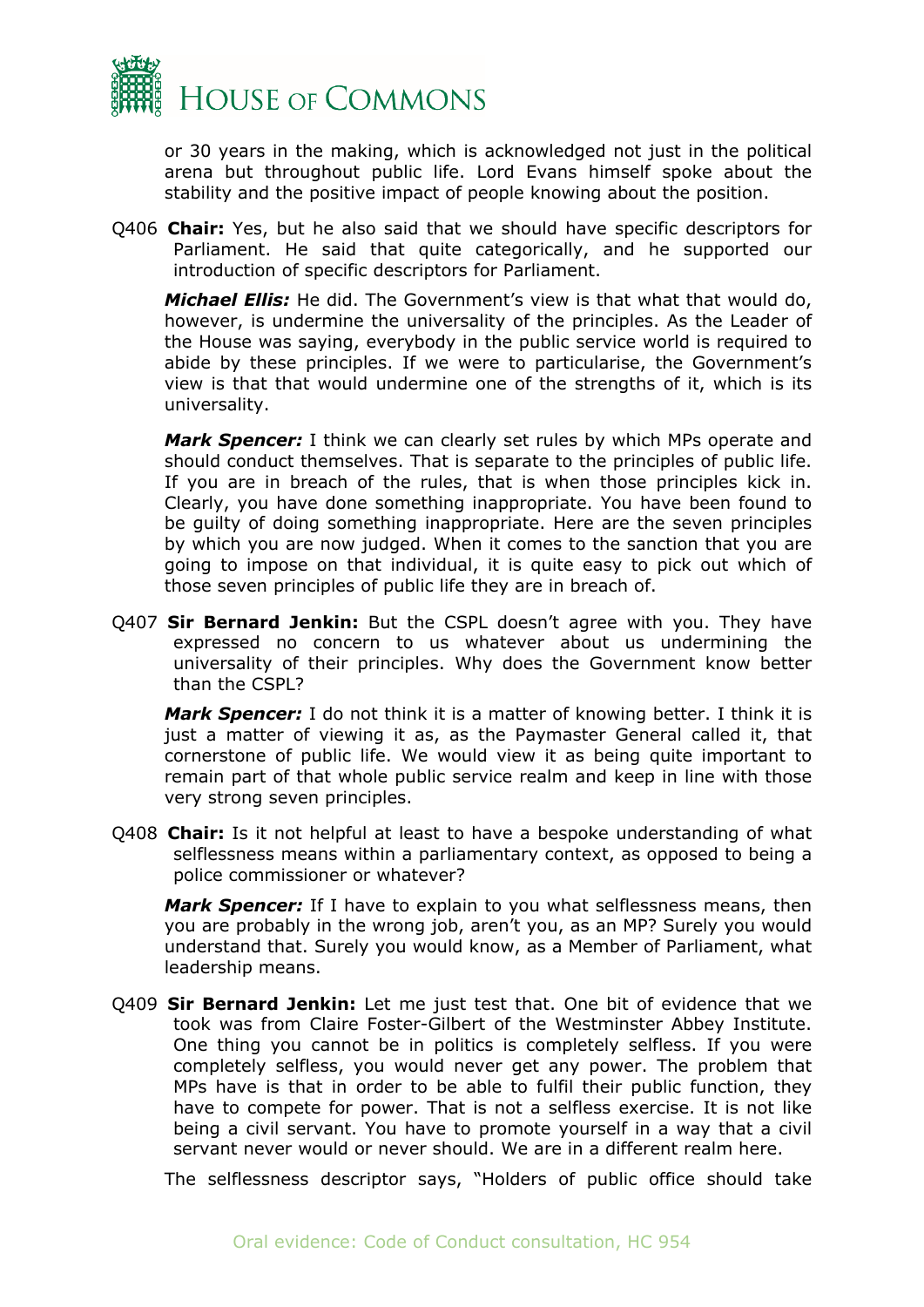

or 30 years in the making, which is acknowledged not just in the political arena but throughout public life. Lord Evans himself spoke about the stability and the positive impact of people knowing about the position.

Q406 **Chair:** Yes, but he also said that we should have specific descriptors for Parliament. He said that quite categorically, and he supported our introduction of specific descriptors for Parliament.

*Michael Ellis:* He did. The Government's view is that what that would do, however, is undermine the universality of the principles. As the Leader of the House was saying, everybody in the public service world is required to abide by these principles. If we were to particularise, the Government's view is that that would undermine one of the strengths of it, which is its universality.

*Mark Spencer:* I think we can clearly set rules by which MPs operate and should conduct themselves. That is separate to the principles of public life. If you are in breach of the rules, that is when those principles kick in. Clearly, you have done something inappropriate. You have been found to be guilty of doing something inappropriate. Here are the seven principles by which you are now judged. When it comes to the sanction that you are going to impose on that individual, it is quite easy to pick out which of those seven principles of public life they are in breach of.

Q407 **Sir Bernard Jenkin:** But the CSPL doesn't agree with you. They have expressed no concern to us whatever about us undermining the universality of their principles. Why does the Government know better than the CSPL?

*Mark Spencer:* I do not think it is a matter of knowing better. I think it is just a matter of viewing it as, as the Paymaster General called it, that cornerstone of public life. We would view it as being quite important to remain part of that whole public service realm and keep in line with those very strong seven principles.

Q408 **Chair:** Is it not helpful at least to have a bespoke understanding of what selflessness means within a parliamentary context, as opposed to being a police commissioner or whatever?

*Mark Spencer:* If I have to explain to you what selflessness means, then you are probably in the wrong job, aren't you, as an MP? Surely you would understand that. Surely you would know, as a Member of Parliament, what leadership means.

Q409 **Sir Bernard Jenkin:** Let me just test that. One bit of evidence that we took was from Claire Foster-Gilbert of the Westminster Abbey Institute. One thing you cannot be in politics is completely selfless. If you were completely selfless, you would never get any power. The problem that MPs have is that in order to be able to fulfil their public function, they have to compete for power. That is not a selfless exercise. It is not like being a civil servant. You have to promote yourself in a way that a civil servant never would or never should. We are in a different realm here.

The selflessness descriptor says, "Holders of public office should take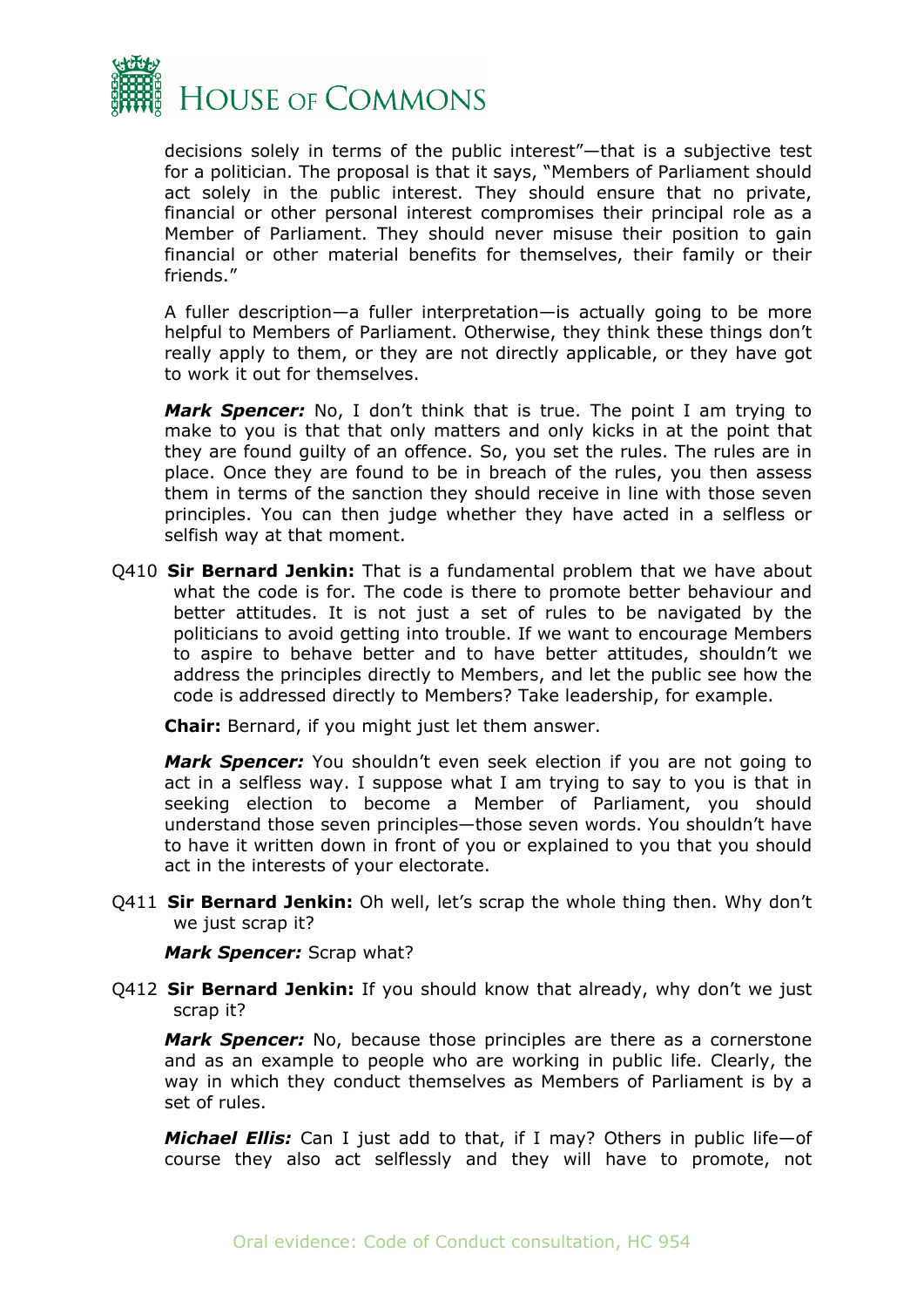

decisions solely in terms of the public interest"—that is a subjective test for a politician. The proposal is that it says, "Members of Parliament should act solely in the public interest. They should ensure that no private, financial or other personal interest compromises their principal role as a Member of Parliament. They should never misuse their position to gain financial or other material benefits for themselves, their family or their friends."

A fuller description—a fuller interpretation—is actually going to be more helpful to Members of Parliament. Otherwise, they think these things don't really apply to them, or they are not directly applicable, or they have got to work it out for themselves.

*Mark Spencer:* No, I don't think that is true. The point I am trying to make to you is that that only matters and only kicks in at the point that they are found guilty of an offence. So, you set the rules. The rules are in place. Once they are found to be in breach of the rules, you then assess them in terms of the sanction they should receive in line with those seven principles. You can then judge whether they have acted in a selfless or selfish way at that moment.

Q410 **Sir Bernard Jenkin:** That is a fundamental problem that we have about what the code is for. The code is there to promote better behaviour and better attitudes. It is not just a set of rules to be navigated by the politicians to avoid getting into trouble. If we want to encourage Members to aspire to behave better and to have better attitudes, shouldn't we address the principles directly to Members, and let the public see how the code is addressed directly to Members? Take leadership, for example.

**Chair:** Bernard, if you might just let them answer.

*Mark Spencer:* You shouldn't even seek election if you are not going to act in a selfless way. I suppose what I am trying to say to you is that in seeking election to become a Member of Parliament, you should understand those seven principles—those seven words. You shouldn't have to have it written down in front of you or explained to you that you should act in the interests of your electorate.

Q411 **Sir Bernard Jenkin:** Oh well, let's scrap the whole thing then. Why don't we just scrap it?

*Mark Spencer:* Scrap what?

Q412 **Sir Bernard Jenkin:** If you should know that already, why don't we just scrap it?

*Mark Spencer:* No, because those principles are there as a cornerstone and as an example to people who are working in public life. Clearly, the way in which they conduct themselves as Members of Parliament is by a set of rules.

*Michael Ellis:* Can I just add to that, if I may? Others in public life—of course they also act selflessly and they will have to promote, not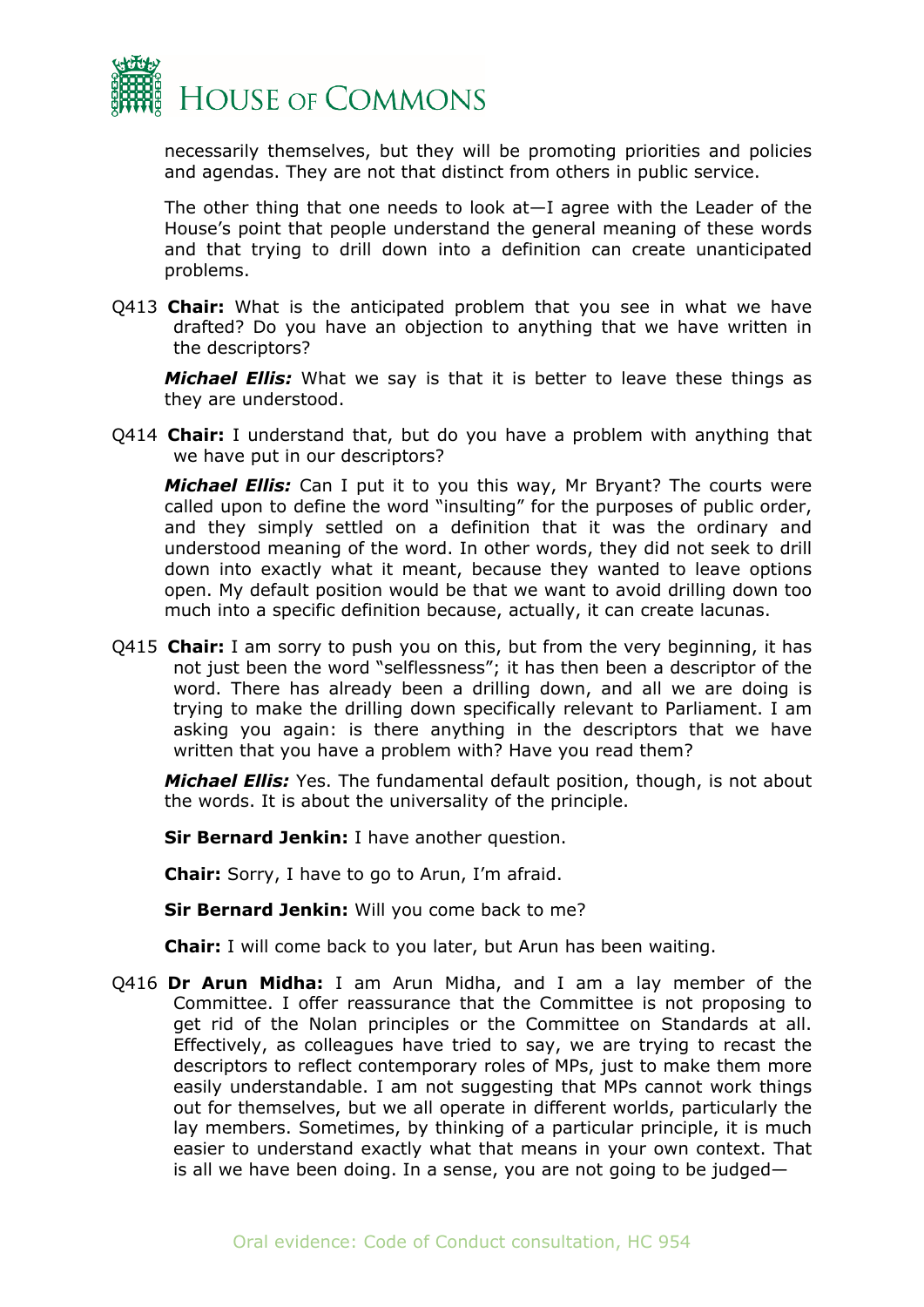

necessarily themselves, but they will be promoting priorities and policies and agendas. They are not that distinct from others in public service.

The other thing that one needs to look at—I agree with the Leader of the House's point that people understand the general meaning of these words and that trying to drill down into a definition can create unanticipated problems.

Q413 **Chair:** What is the anticipated problem that you see in what we have drafted? Do you have an objection to anything that we have written in the descriptors?

*Michael Ellis:* What we say is that it is better to leave these things as they are understood.

Q414 **Chair:** I understand that, but do you have a problem with anything that we have put in our descriptors?

*Michael Ellis:* Can I put it to you this way, Mr Bryant? The courts were called upon to define the word "insulting" for the purposes of public order, and they simply settled on a definition that it was the ordinary and understood meaning of the word. In other words, they did not seek to drill down into exactly what it meant, because they wanted to leave options open. My default position would be that we want to avoid drilling down too much into a specific definition because, actually, it can create lacunas.

Q415 **Chair:** I am sorry to push you on this, but from the very beginning, it has not just been the word "selflessness"; it has then been a descriptor of the word. There has already been a drilling down, and all we are doing is trying to make the drilling down specifically relevant to Parliament. I am asking you again: is there anything in the descriptors that we have written that you have a problem with? Have you read them?

*Michael Ellis:* Yes. The fundamental default position, though, is not about the words. It is about the universality of the principle.

**Sir Bernard Jenkin:** I have another question.

**Chair:** Sorry, I have to go to Arun, I'm afraid.

**Sir Bernard Jenkin:** Will you come back to me?

**Chair:** I will come back to you later, but Arun has been waiting.

Q416 **Dr Arun Midha:** I am Arun Midha, and I am a lay member of the Committee. I offer reassurance that the Committee is not proposing to get rid of the Nolan principles or the Committee on Standards at all. Effectively, as colleagues have tried to say, we are trying to recast the descriptors to reflect contemporary roles of MPs, just to make them more easily understandable. I am not suggesting that MPs cannot work things out for themselves, but we all operate in different worlds, particularly the lay members. Sometimes, by thinking of a particular principle, it is much easier to understand exactly what that means in your own context. That is all we have been doing. In a sense, you are not going to be judged—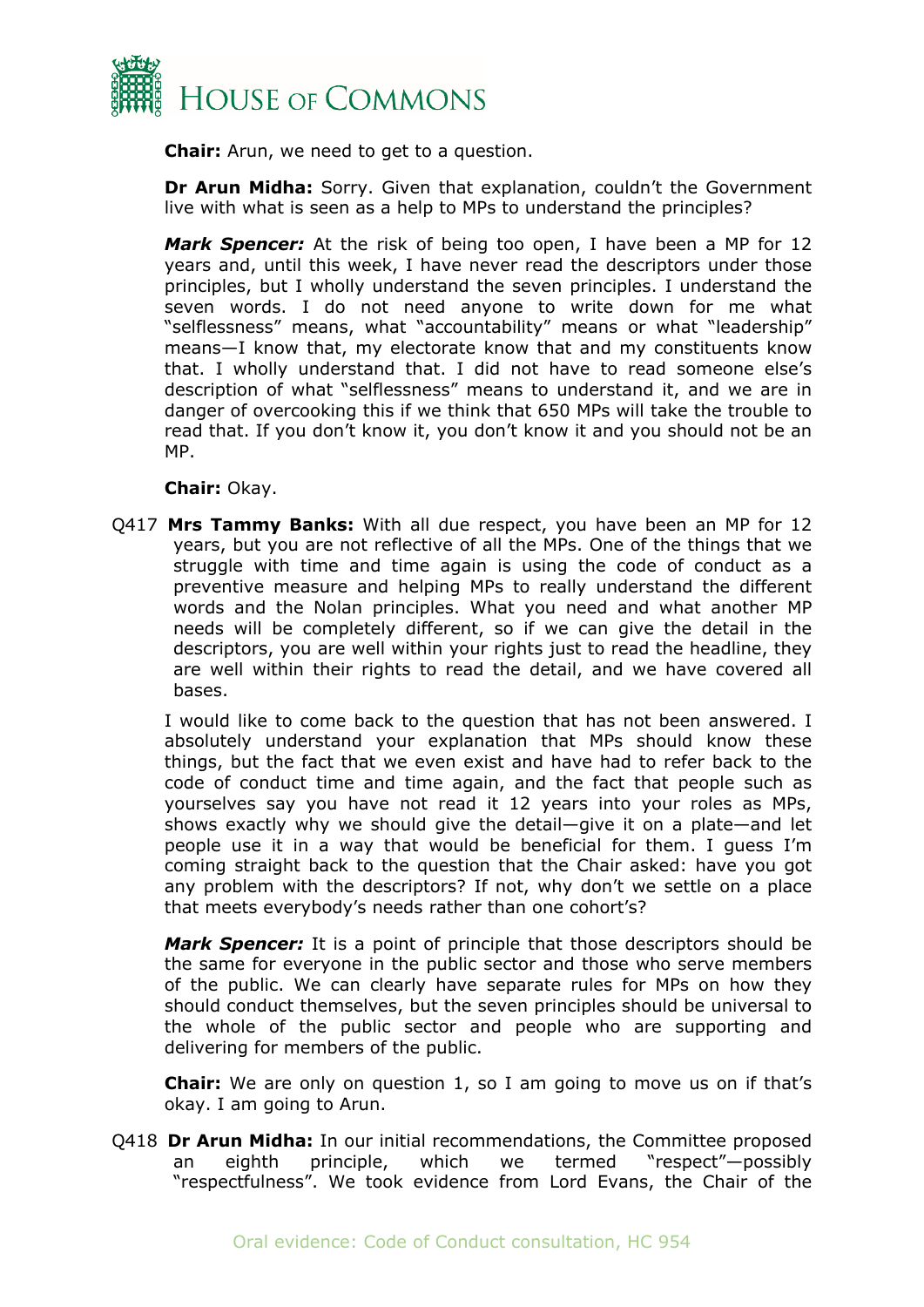

**Chair:** Arun, we need to get to a question.

**Dr Arun Midha:** Sorry. Given that explanation, couldn't the Government live with what is seen as a help to MPs to understand the principles?

*Mark Spencer:* At the risk of being too open, I have been a MP for 12 years and, until this week, I have never read the descriptors under those principles, but I wholly understand the seven principles. I understand the seven words. I do not need anyone to write down for me what "selflessness" means, what "accountability" means or what "leadership" means—I know that, my electorate know that and my constituents know that. I wholly understand that. I did not have to read someone else's description of what "selflessness" means to understand it, and we are in danger of overcooking this if we think that 650 MPs will take the trouble to read that. If you don't know it, you don't know it and you should not be an MP.

#### **Chair:** Okay.

Q417 **Mrs Tammy Banks:** With all due respect, you have been an MP for 12 years, but you are not reflective of all the MPs. One of the things that we struggle with time and time again is using the code of conduct as a preventive measure and helping MPs to really understand the different words and the Nolan principles. What you need and what another MP needs will be completely different, so if we can give the detail in the descriptors, you are well within your rights just to read the headline, they are well within their rights to read the detail, and we have covered all bases.

I would like to come back to the question that has not been answered. I absolutely understand your explanation that MPs should know these things, but the fact that we even exist and have had to refer back to the code of conduct time and time again, and the fact that people such as yourselves say you have not read it 12 years into your roles as MPs, shows exactly why we should give the detail—give it on a plate—and let people use it in a way that would be beneficial for them. I guess I'm coming straight back to the question that the Chair asked: have you got any problem with the descriptors? If not, why don't we settle on a place that meets everybody's needs rather than one cohort's?

*Mark Spencer:* It is a point of principle that those descriptors should be the same for everyone in the public sector and those who serve members of the public. We can clearly have separate rules for MPs on how they should conduct themselves, but the seven principles should be universal to the whole of the public sector and people who are supporting and delivering for members of the public.

**Chair:** We are only on question 1, so I am going to move us on if that's okay. I am going to Arun.

Q418 **Dr Arun Midha:** In our initial recommendations, the Committee proposed an eighth principle, which we termed "respect"—possibly "respectfulness". We took evidence from Lord Evans, the Chair of the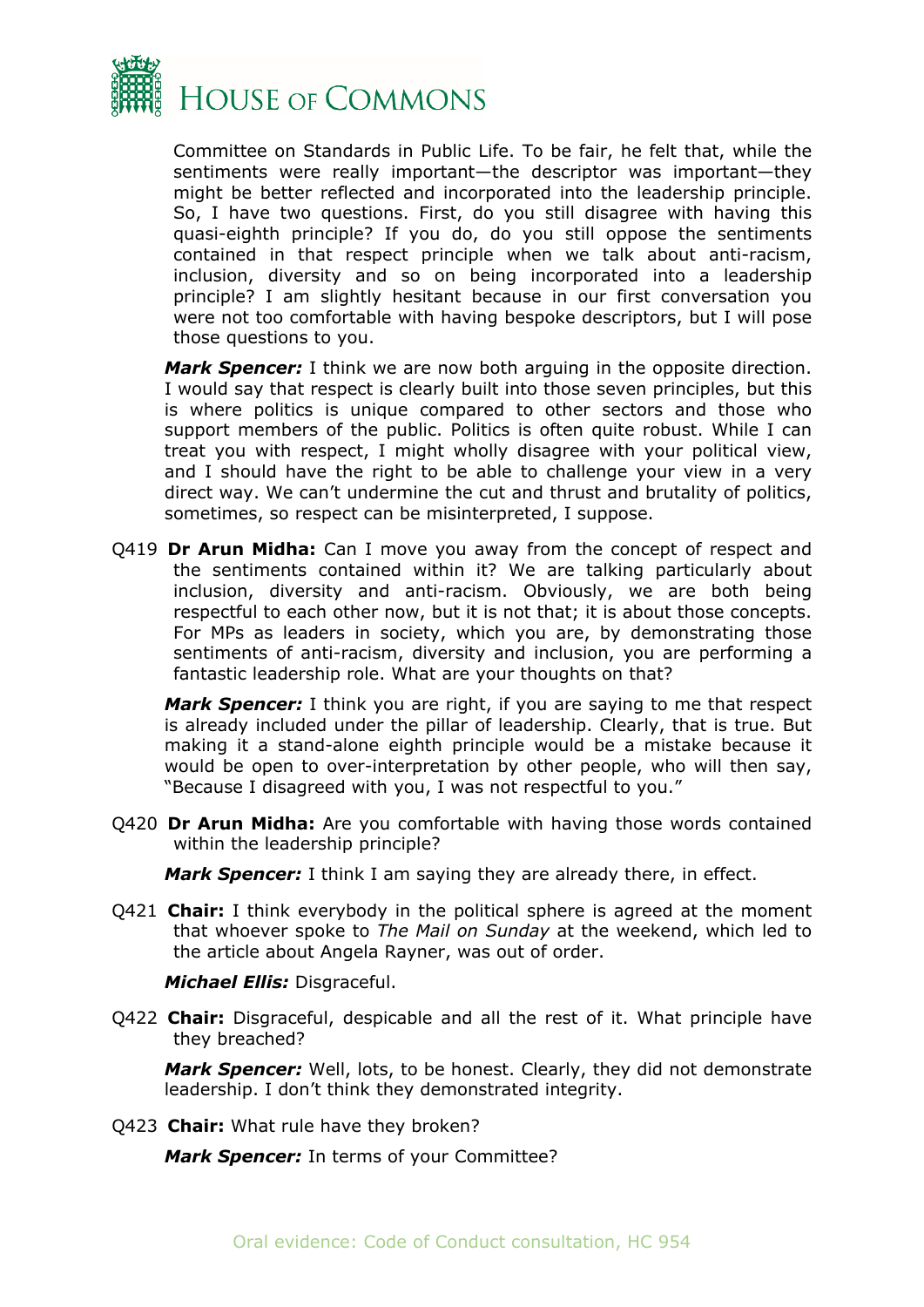

Committee on Standards in Public Life. To be fair, he felt that, while the sentiments were really important—the descriptor was important—they might be better reflected and incorporated into the leadership principle. So, I have two questions. First, do you still disagree with having this quasi-eighth principle? If you do, do you still oppose the sentiments contained in that respect principle when we talk about anti-racism, inclusion, diversity and so on being incorporated into a leadership principle? I am slightly hesitant because in our first conversation you were not too comfortable with having bespoke descriptors, but I will pose those questions to you.

*Mark Spencer:* I think we are now both arguing in the opposite direction. I would say that respect is clearly built into those seven principles, but this is where politics is unique compared to other sectors and those who support members of the public. Politics is often quite robust. While I can treat you with respect, I might wholly disagree with your political view, and I should have the right to be able to challenge your view in a very direct way. We can't undermine the cut and thrust and brutality of politics, sometimes, so respect can be misinterpreted, I suppose.

Q419 **Dr Arun Midha:** Can I move you away from the concept of respect and the sentiments contained within it? We are talking particularly about inclusion, diversity and anti-racism. Obviously, we are both being respectful to each other now, but it is not that; it is about those concepts. For MPs as leaders in society, which you are, by demonstrating those sentiments of anti-racism, diversity and inclusion, you are performing a fantastic leadership role. What are your thoughts on that?

*Mark Spencer:* I think you are right, if you are saying to me that respect is already included under the pillar of leadership. Clearly, that is true. But making it a stand-alone eighth principle would be a mistake because it would be open to over-interpretation by other people, who will then say, "Because I disagreed with you, I was not respectful to you."

Q420 **Dr Arun Midha:** Are you comfortable with having those words contained within the leadership principle?

*Mark Spencer:* I think I am saying they are already there, in effect.

Q421 **Chair:** I think everybody in the political sphere is agreed at the moment that whoever spoke to *The Mail on Sunday* at the weekend, which led to the article about Angela Rayner, was out of order.

*Michael Ellis:* Disgraceful.

Q422 **Chair:** Disgraceful, despicable and all the rest of it. What principle have they breached?

*Mark Spencer:* Well, lots, to be honest. Clearly, they did not demonstrate leadership. I don't think they demonstrated integrity.

Q423 **Chair:** What rule have they broken?

*Mark Spencer:* In terms of your Committee?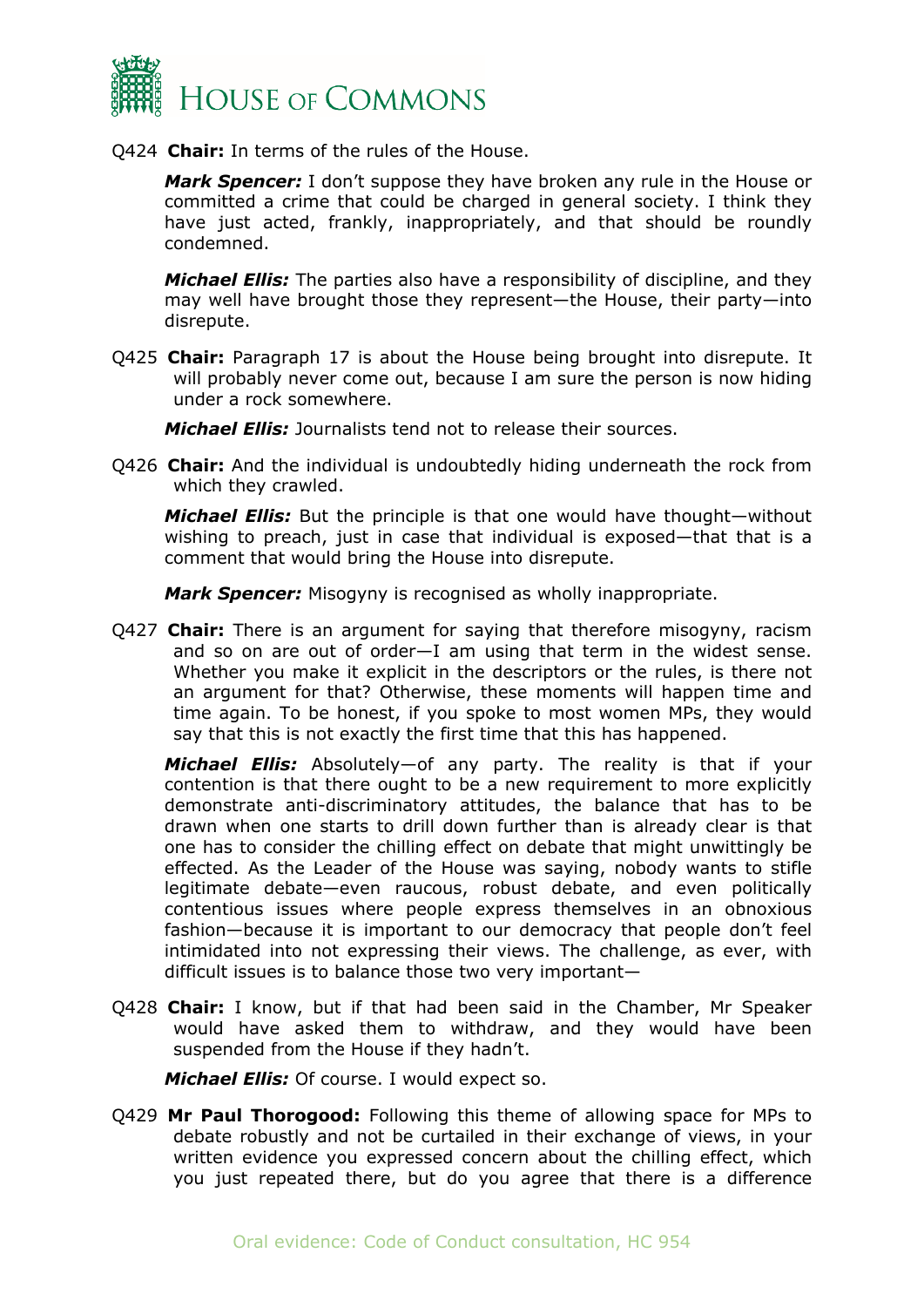

Q424 **Chair:** In terms of the rules of the House.

*Mark Spencer:* I don't suppose they have broken any rule in the House or committed a crime that could be charged in general society. I think they have just acted, frankly, inappropriately, and that should be roundly condemned.

*Michael Ellis:* The parties also have a responsibility of discipline, and they may well have brought those they represent—the House, their party—into disrepute.

Q425 **Chair:** Paragraph 17 is about the House being brought into disrepute. It will probably never come out, because I am sure the person is now hiding under a rock somewhere.

*Michael Ellis:* Journalists tend not to release their sources.

Q426 **Chair:** And the individual is undoubtedly hiding underneath the rock from which they crawled.

*Michael Ellis:* But the principle is that one would have thought—without wishing to preach, just in case that individual is exposed—that that is a comment that would bring the House into disrepute.

*Mark Spencer:* Misogyny is recognised as wholly inappropriate.

Q427 **Chair:** There is an argument for saying that therefore misogyny, racism and so on are out of order—I am using that term in the widest sense. Whether you make it explicit in the descriptors or the rules, is there not an argument for that? Otherwise, these moments will happen time and time again. To be honest, if you spoke to most women MPs, they would say that this is not exactly the first time that this has happened.

*Michael Ellis:* Absolutely—of any party. The reality is that if your contention is that there ought to be a new requirement to more explicitly demonstrate anti-discriminatory attitudes, the balance that has to be drawn when one starts to drill down further than is already clear is that one has to consider the chilling effect on debate that might unwittingly be effected. As the Leader of the House was saying, nobody wants to stifle legitimate debate—even raucous, robust debate, and even politically contentious issues where people express themselves in an obnoxious fashion—because it is important to our democracy that people don't feel intimidated into not expressing their views. The challenge, as ever, with difficult issues is to balance those two very important—

Q428 **Chair:** I know, but if that had been said in the Chamber, Mr Speaker would have asked them to withdraw, and they would have been suspended from the House if they hadn't.

*Michael Ellis:* Of course. I would expect so.

Q429 **Mr Paul Thorogood:** Following this theme of allowing space for MPs to debate robustly and not be curtailed in their exchange of views, in your written evidence you expressed concern about the chilling effect, which you just repeated there, but do you agree that there is a difference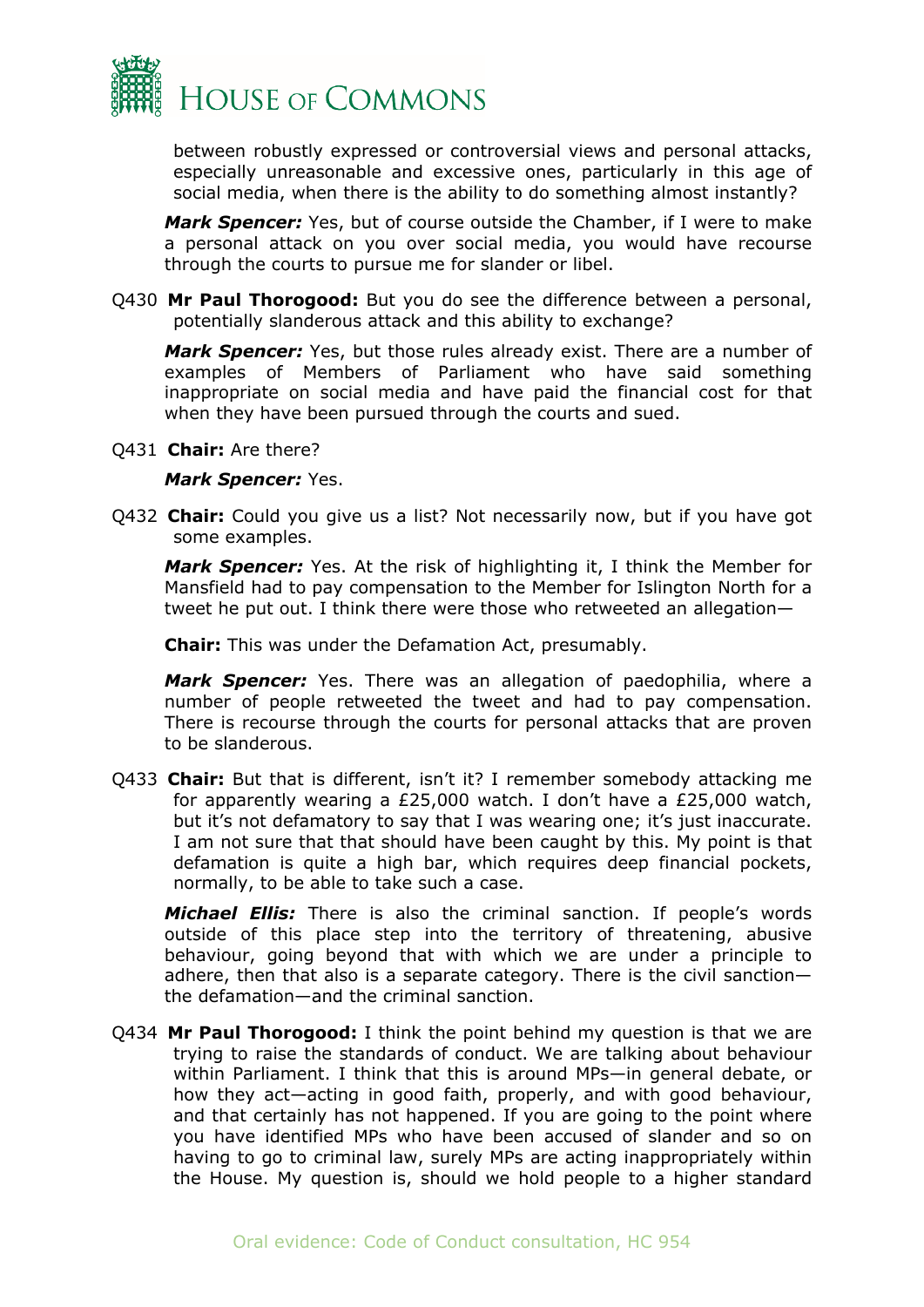

between robustly expressed or controversial views and personal attacks, especially unreasonable and excessive ones, particularly in this age of social media, when there is the ability to do something almost instantly?

*Mark Spencer:* Yes, but of course outside the Chamber, if I were to make a personal attack on you over social media, you would have recourse through the courts to pursue me for slander or libel.

Q430 **Mr Paul Thorogood:** But you do see the difference between a personal, potentially slanderous attack and this ability to exchange?

*Mark Spencer:* Yes, but those rules already exist. There are a number of examples of Members of Parliament who have said something inappropriate on social media and have paid the financial cost for that when they have been pursued through the courts and sued.

Q431 **Chair:** Are there?

#### *Mark Spencer:* Yes.

Q432 **Chair:** Could you give us a list? Not necessarily now, but if you have got some examples.

*Mark Spencer:* Yes. At the risk of highlighting it, I think the Member for Mansfield had to pay compensation to the Member for Islington North for a tweet he put out. I think there were those who retweeted an allegation—

**Chair:** This was under the Defamation Act, presumably.

*Mark Spencer:* Yes. There was an allegation of paedophilia, where a number of people retweeted the tweet and had to pay compensation. There is recourse through the courts for personal attacks that are proven to be slanderous.

Q433 **Chair:** But that is different, isn't it? I remember somebody attacking me for apparently wearing a  $E25,000$  watch. I don't have a  $E25,000$  watch, but it's not defamatory to say that I was wearing one; it's just inaccurate. I am not sure that that should have been caught by this. My point is that defamation is quite a high bar, which requires deep financial pockets, normally, to be able to take such a case.

*Michael Ellis:* There is also the criminal sanction. If people's words outside of this place step into the territory of threatening, abusive behaviour, going beyond that with which we are under a principle to adhere, then that also is a separate category. There is the civil sanction the defamation—and the criminal sanction.

Q434 **Mr Paul Thorogood:** I think the point behind my question is that we are trying to raise the standards of conduct. We are talking about behaviour within Parliament. I think that this is around MPs—in general debate, or how they act—acting in good faith, properly, and with good behaviour, and that certainly has not happened. If you are going to the point where you have identified MPs who have been accused of slander and so on having to go to criminal law, surely MPs are acting inappropriately within the House. My question is, should we hold people to a higher standard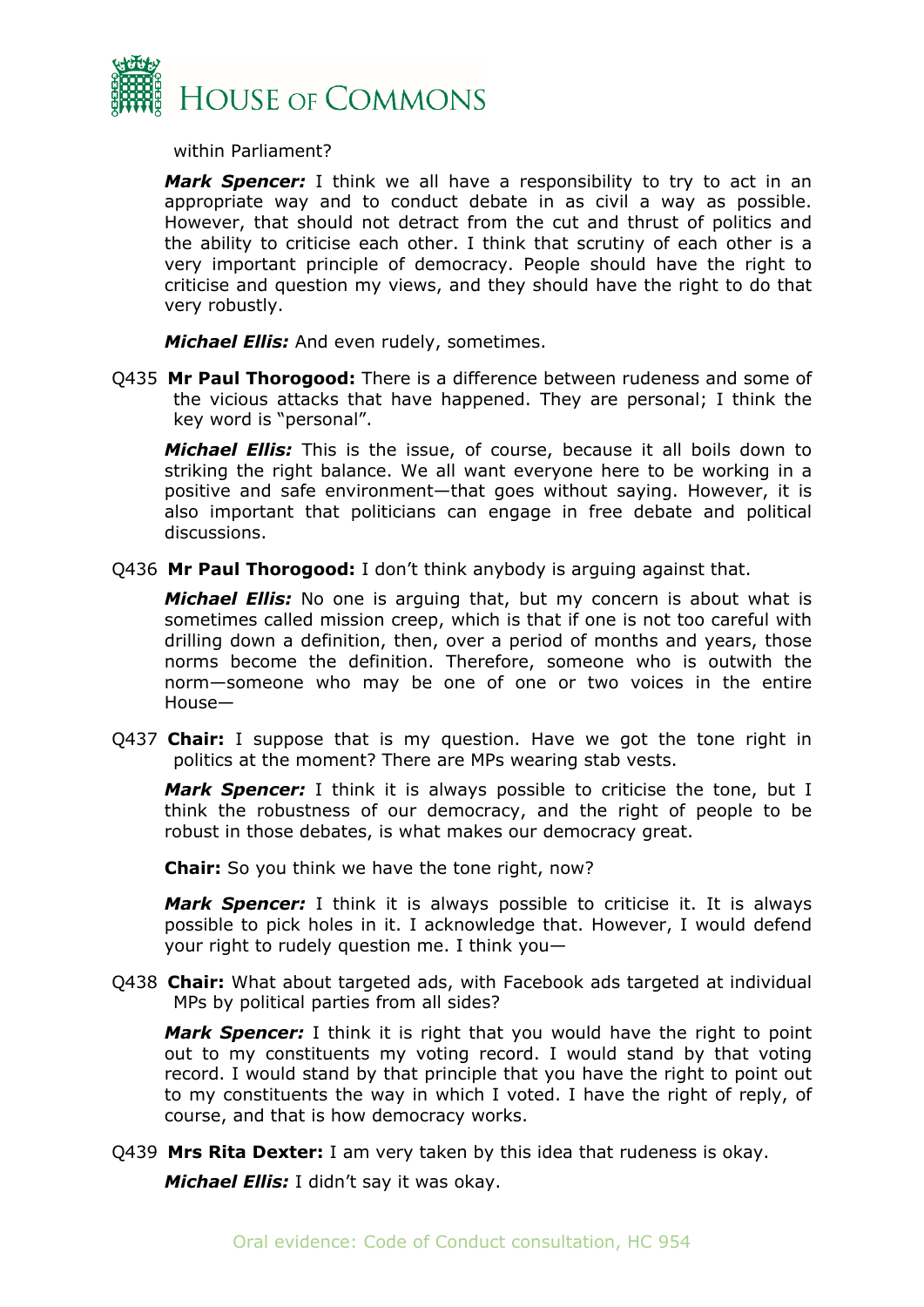

within Parliament?

*Mark Spencer:* I think we all have a responsibility to try to act in an appropriate way and to conduct debate in as civil a way as possible. However, that should not detract from the cut and thrust of politics and the ability to criticise each other. I think that scrutiny of each other is a very important principle of democracy. People should have the right to criticise and question my views, and they should have the right to do that very robustly.

*Michael Ellis:* And even rudely, sometimes.

Q435 **Mr Paul Thorogood:** There is a difference between rudeness and some of the vicious attacks that have happened. They are personal; I think the key word is "personal".

*Michael Ellis:* This is the issue, of course, because it all boils down to striking the right balance. We all want everyone here to be working in a positive and safe environment—that goes without saying. However, it is also important that politicians can engage in free debate and political discussions.

Q436 **Mr Paul Thorogood:** I don't think anybody is arguing against that.

*Michael Ellis:* No one is arguing that, but my concern is about what is sometimes called mission creep, which is that if one is not too careful with drilling down a definition, then, over a period of months and years, those norms become the definition. Therefore, someone who is outwith the norm—someone who may be one of one or two voices in the entire House—

Q437 **Chair:** I suppose that is my question. Have we got the tone right in politics at the moment? There are MPs wearing stab vests.

*Mark Spencer:* I think it is always possible to criticise the tone, but I think the robustness of our democracy, and the right of people to be robust in those debates, is what makes our democracy great.

**Chair:** So you think we have the tone right, now?

*Mark Spencer:* I think it is always possible to criticise it. It is always possible to pick holes in it. I acknowledge that. However, I would defend your right to rudely question me. I think you—

Q438 **Chair:** What about targeted ads, with Facebook ads targeted at individual MPs by political parties from all sides?

*Mark Spencer:* I think it is right that you would have the right to point out to my constituents my voting record. I would stand by that voting record. I would stand by that principle that you have the right to point out to my constituents the way in which I voted. I have the right of reply, of course, and that is how democracy works.

Q439 **Mrs Rita Dexter:** I am very taken by this idea that rudeness is okay.

*Michael Ellis:* I didn't say it was okay.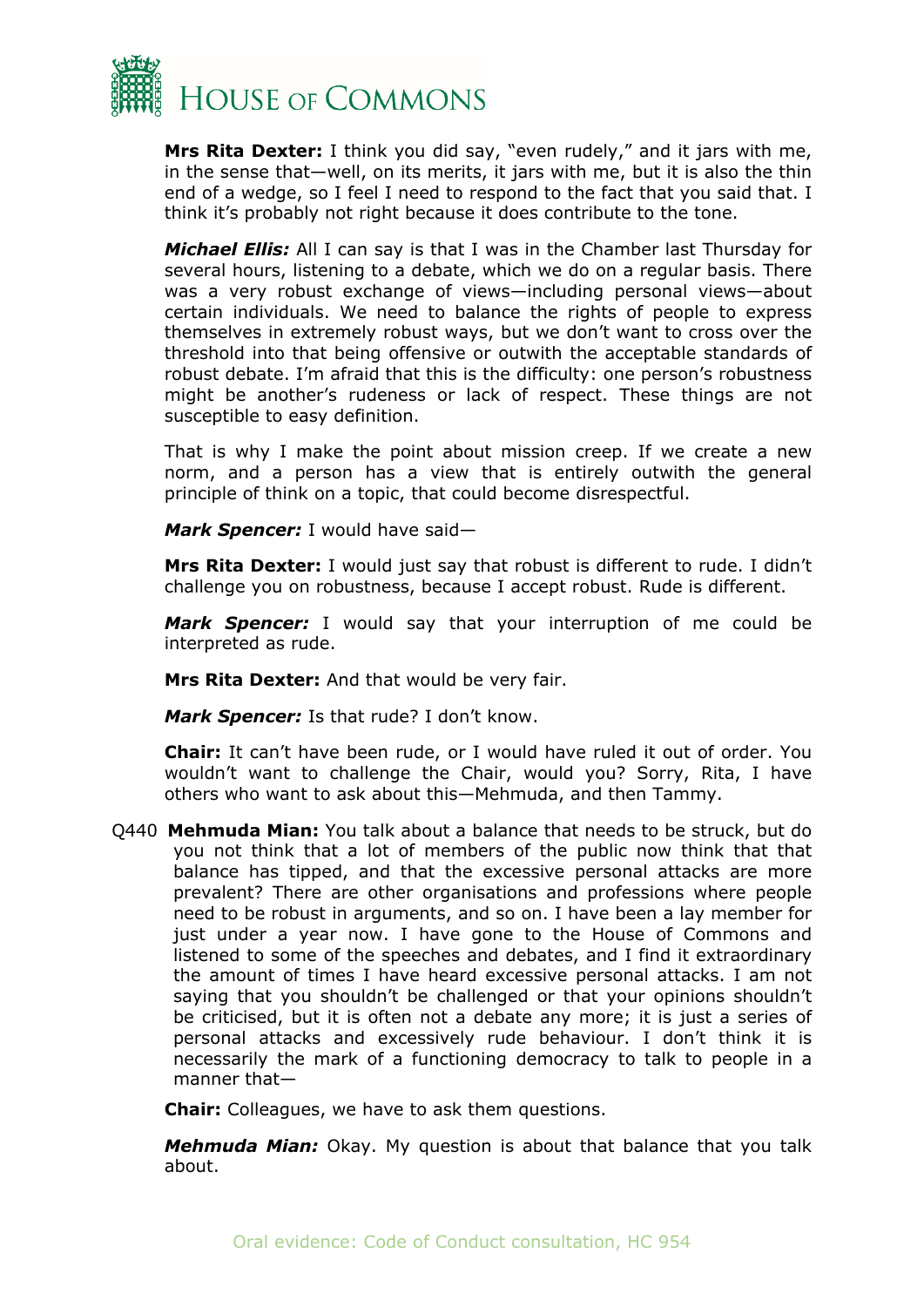

**Mrs Rita Dexter:** I think you did say, "even rudely," and it jars with me, in the sense that—well, on its merits, it jars with me, but it is also the thin end of a wedge, so I feel I need to respond to the fact that you said that. I think it's probably not right because it does contribute to the tone.

*Michael Ellis:* All I can say is that I was in the Chamber last Thursday for several hours, listening to a debate, which we do on a regular basis. There was a very robust exchange of views—including personal views—about certain individuals. We need to balance the rights of people to express themselves in extremely robust ways, but we don't want to cross over the threshold into that being offensive or outwith the acceptable standards of robust debate. I'm afraid that this is the difficulty: one person's robustness might be another's rudeness or lack of respect. These things are not susceptible to easy definition.

That is why I make the point about mission creep. If we create a new norm, and a person has a view that is entirely outwith the general principle of think on a topic, that could become disrespectful.

*Mark Spencer:* I would have said—

**Mrs Rita Dexter:** I would just say that robust is different to rude. I didn't challenge you on robustness, because I accept robust. Rude is different.

*Mark Spencer:* I would say that your interruption of me could be interpreted as rude.

**Mrs Rita Dexter:** And that would be very fair.

*Mark Spencer:* Is that rude? I don't know.

**Chair:** It can't have been rude, or I would have ruled it out of order. You wouldn't want to challenge the Chair, would you? Sorry, Rita, I have others who want to ask about this—Mehmuda, and then Tammy.

Q440 **Mehmuda Mian:** You talk about a balance that needs to be struck, but do you not think that a lot of members of the public now think that that balance has tipped, and that the excessive personal attacks are more prevalent? There are other organisations and professions where people need to be robust in arguments, and so on. I have been a lay member for just under a year now. I have gone to the House of Commons and listened to some of the speeches and debates, and I find it extraordinary the amount of times I have heard excessive personal attacks. I am not saying that you shouldn't be challenged or that your opinions shouldn't be criticised, but it is often not a debate any more; it is just a series of personal attacks and excessively rude behaviour. I don't think it is necessarily the mark of a functioning democracy to talk to people in a manner that—

**Chair:** Colleagues, we have to ask them questions.

*Mehmuda Mian:* Okay. My question is about that balance that you talk about.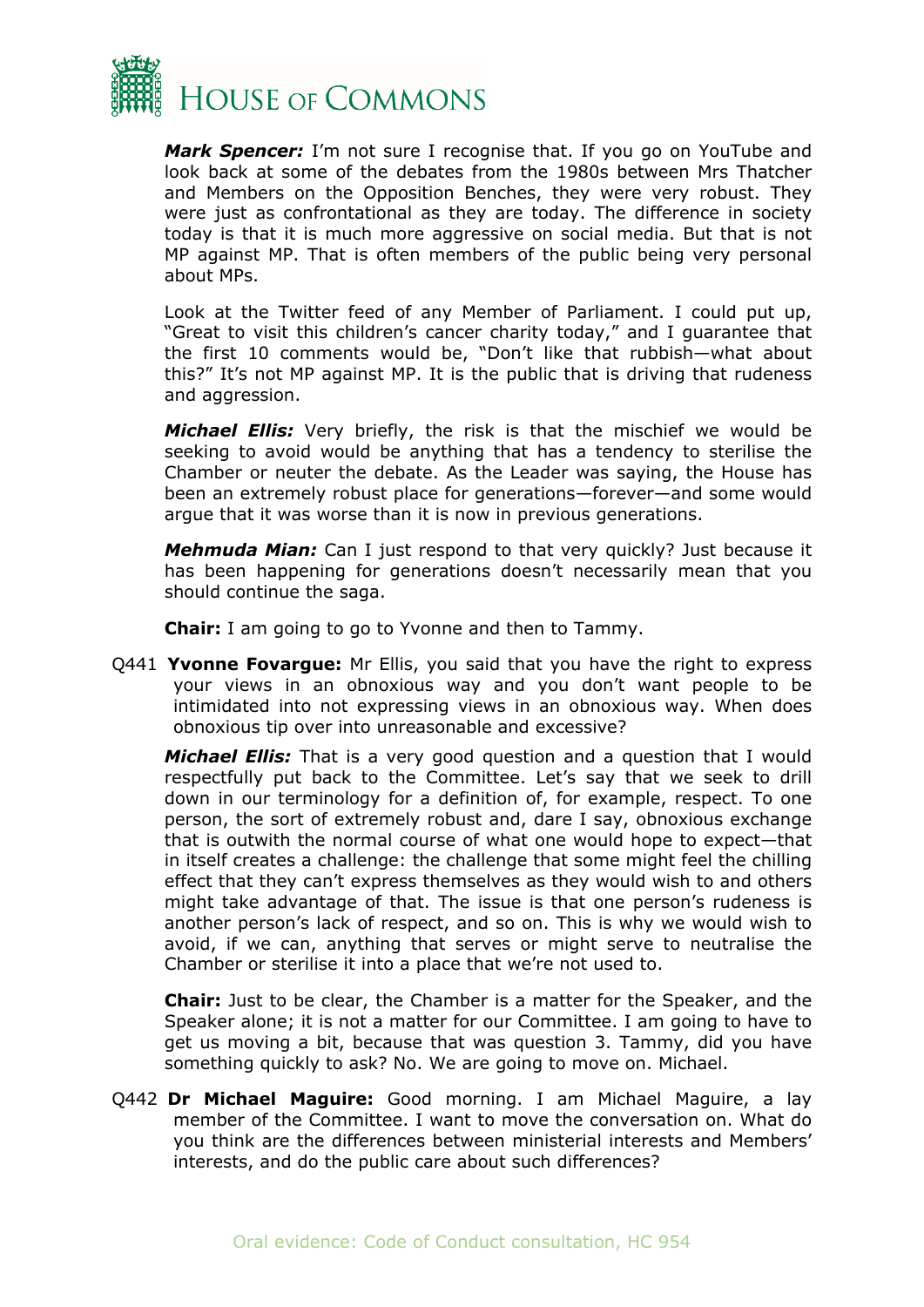

*Mark Spencer:* I'm not sure I recognise that. If you go on YouTube and look back at some of the debates from the 1980s between Mrs Thatcher and Members on the Opposition Benches, they were very robust. They were just as confrontational as they are today. The difference in society today is that it is much more aggressive on social media. But that is not MP against MP. That is often members of the public being very personal about MPs.

Look at the Twitter feed of any Member of Parliament. I could put up, "Great to visit this children's cancer charity today," and I guarantee that the first 10 comments would be, "Don't like that rubbish—what about this?" It's not MP against MP. It is the public that is driving that rudeness and aggression.

*Michael Ellis:* Very briefly, the risk is that the mischief we would be seeking to avoid would be anything that has a tendency to sterilise the Chamber or neuter the debate. As the Leader was saying, the House has been an extremely robust place for generations—forever—and some would argue that it was worse than it is now in previous generations.

*Mehmuda Mian:* Can I just respond to that very quickly? Just because it has been happening for generations doesn't necessarily mean that you should continue the saga.

**Chair:** I am going to go to Yvonne and then to Tammy.

Q441 **Yvonne Fovargue:** Mr Ellis, you said that you have the right to express your views in an obnoxious way and you don't want people to be intimidated into not expressing views in an obnoxious way. When does obnoxious tip over into unreasonable and excessive?

*Michael Ellis:* That is a very good question and a question that I would respectfully put back to the Committee. Let's say that we seek to drill down in our terminology for a definition of, for example, respect. To one person, the sort of extremely robust and, dare I say, obnoxious exchange that is outwith the normal course of what one would hope to expect—that in itself creates a challenge: the challenge that some might feel the chilling effect that they can't express themselves as they would wish to and others might take advantage of that. The issue is that one person's rudeness is another person's lack of respect, and so on. This is why we would wish to avoid, if we can, anything that serves or might serve to neutralise the Chamber or sterilise it into a place that we're not used to.

**Chair:** Just to be clear, the Chamber is a matter for the Speaker, and the Speaker alone; it is not a matter for our Committee. I am going to have to get us moving a bit, because that was question 3. Tammy, did you have something quickly to ask? No. We are going to move on. Michael.

Q442 **Dr Michael Maguire:** Good morning. I am Michael Maguire, a lay member of the Committee. I want to move the conversation on. What do you think are the differences between ministerial interests and Members' interests, and do the public care about such differences?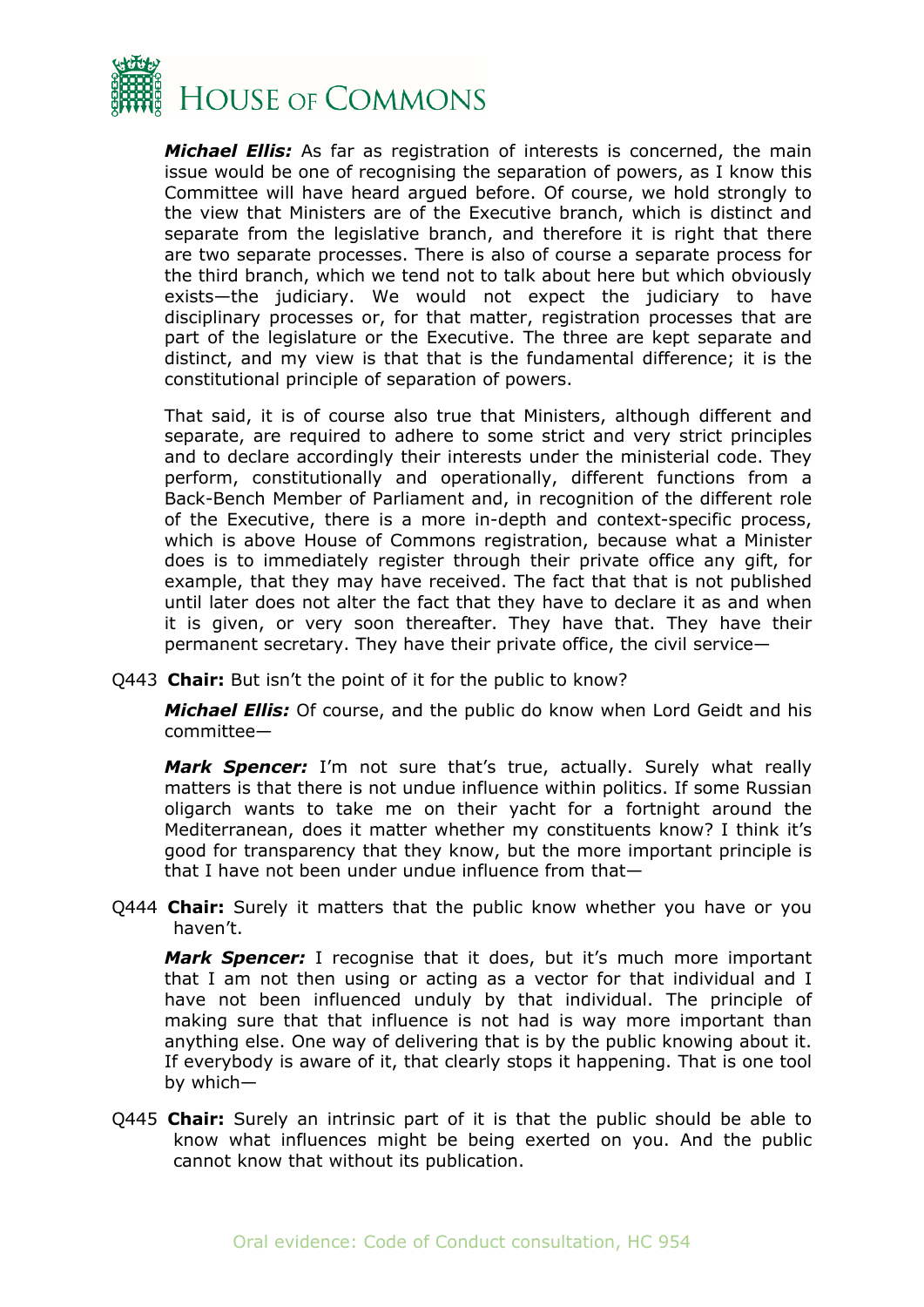

*Michael Ellis:* As far as registration of interests is concerned, the main issue would be one of recognising the separation of powers, as I know this Committee will have heard argued before. Of course, we hold strongly to the view that Ministers are of the Executive branch, which is distinct and separate from the legislative branch, and therefore it is right that there are two separate processes. There is also of course a separate process for the third branch, which we tend not to talk about here but which obviously exists—the judiciary. We would not expect the judiciary to have disciplinary processes or, for that matter, registration processes that are part of the legislature or the Executive. The three are kept separate and distinct, and my view is that that is the fundamental difference; it is the constitutional principle of separation of powers.

That said, it is of course also true that Ministers, although different and separate, are required to adhere to some strict and very strict principles and to declare accordingly their interests under the ministerial code. They perform, constitutionally and operationally, different functions from a Back-Bench Member of Parliament and, in recognition of the different role of the Executive, there is a more in-depth and context-specific process, which is above House of Commons registration, because what a Minister does is to immediately register through their private office any gift, for example, that they may have received. The fact that that is not published until later does not alter the fact that they have to declare it as and when it is given, or very soon thereafter. They have that. They have their permanent secretary. They have their private office, the civil service—

Q443 **Chair:** But isn't the point of it for the public to know?

*Michael Ellis:* Of course, and the public do know when Lord Geidt and his committee—

*Mark Spencer:* I'm not sure that's true, actually. Surely what really matters is that there is not undue influence within politics. If some Russian oligarch wants to take me on their yacht for a fortnight around the Mediterranean, does it matter whether my constituents know? I think it's good for transparency that they know, but the more important principle is that I have not been under undue influence from that—

Q444 **Chair:** Surely it matters that the public know whether you have or you haven't.

*Mark Spencer:* I recognise that it does, but it's much more important that I am not then using or acting as a vector for that individual and I have not been influenced unduly by that individual. The principle of making sure that that influence is not had is way more important than anything else. One way of delivering that is by the public knowing about it. If everybody is aware of it, that clearly stops it happening. That is one tool by which—

Q445 **Chair:** Surely an intrinsic part of it is that the public should be able to know what influences might be being exerted on you. And the public cannot know that without its publication.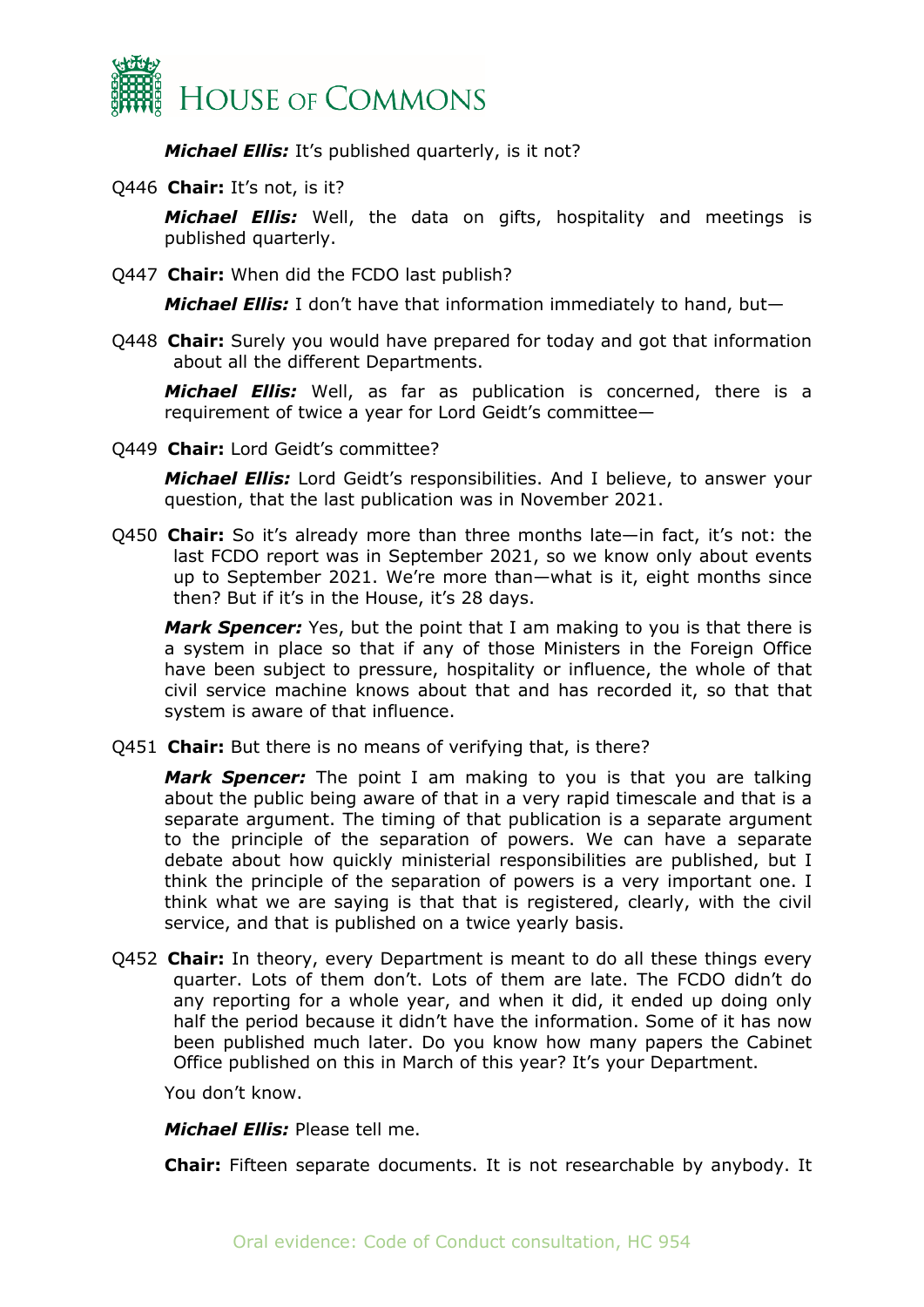

*Michael Ellis:* It's published quarterly, is it not?

Q446 **Chair:** It's not, is it?

*Michael Ellis:* Well, the data on gifts, hospitality and meetings is published quarterly.

Q447 **Chair:** When did the FCDO last publish?

*Michael Ellis:* I don't have that information immediately to hand, but—

Q448 **Chair:** Surely you would have prepared for today and got that information about all the different Departments.

*Michael Ellis:* Well, as far as publication is concerned, there is a requirement of twice a year for Lord Geidt's committee—

Q449 **Chair:** Lord Geidt's committee?

*Michael Ellis:* Lord Geidt's responsibilities. And I believe, to answer your question, that the last publication was in November 2021.

Q450 **Chair:** So it's already more than three months late—in fact, it's not: the last FCDO report was in September 2021, so we know only about events up to September 2021. We're more than—what is it, eight months since then? But if it's in the House, it's 28 days.

*Mark Spencer:* Yes, but the point that I am making to you is that there is a system in place so that if any of those Ministers in the Foreign Office have been subject to pressure, hospitality or influence, the whole of that civil service machine knows about that and has recorded it, so that that system is aware of that influence.

Q451 **Chair:** But there is no means of verifying that, is there?

*Mark Spencer:* The point I am making to you is that you are talking about the public being aware of that in a very rapid timescale and that is a separate argument. The timing of that publication is a separate argument to the principle of the separation of powers. We can have a separate debate about how quickly ministerial responsibilities are published, but I think the principle of the separation of powers is a very important one. I think what we are saying is that that is registered, clearly, with the civil service, and that is published on a twice yearly basis.

Q452 **Chair:** In theory, every Department is meant to do all these things every quarter. Lots of them don't. Lots of them are late. The FCDO didn't do any reporting for a whole year, and when it did, it ended up doing only half the period because it didn't have the information. Some of it has now been published much later. Do you know how many papers the Cabinet Office published on this in March of this year? It's your Department.

You don't know.

*Michael Ellis:* Please tell me.

**Chair:** Fifteen separate documents. It is not researchable by anybody. It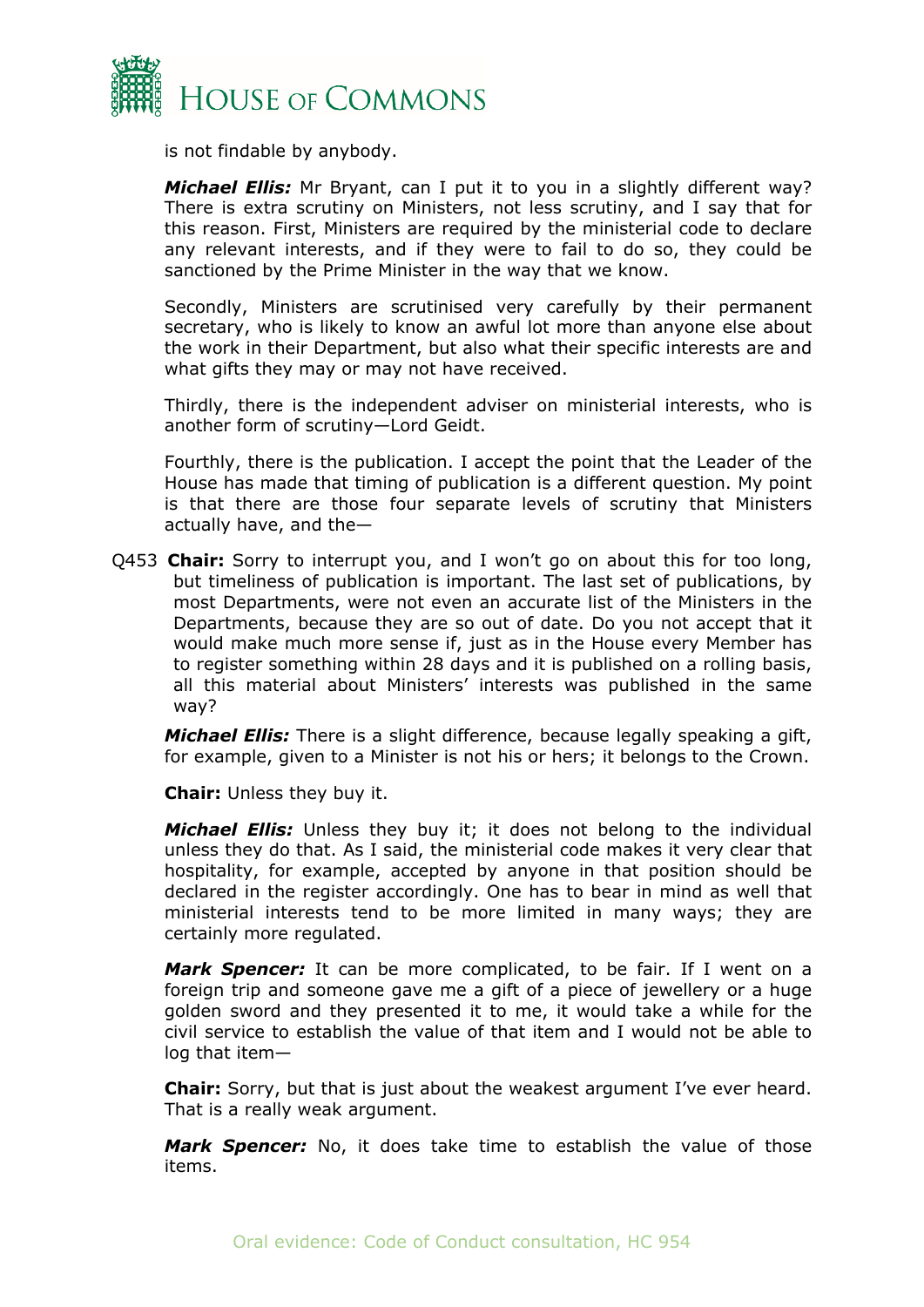

is not findable by anybody.

*Michael Ellis:* Mr Bryant, can I put it to you in a slightly different way? There is extra scrutiny on Ministers, not less scrutiny, and I say that for this reason. First, Ministers are required by the ministerial code to declare any relevant interests, and if they were to fail to do so, they could be sanctioned by the Prime Minister in the way that we know.

Secondly, Ministers are scrutinised very carefully by their permanent secretary, who is likely to know an awful lot more than anyone else about the work in their Department, but also what their specific interests are and what gifts they may or may not have received.

Thirdly, there is the independent adviser on ministerial interests, who is another form of scrutiny—Lord Geidt.

Fourthly, there is the publication. I accept the point that the Leader of the House has made that timing of publication is a different question. My point is that there are those four separate levels of scrutiny that Ministers actually have, and the—

Q453 **Chair:** Sorry to interrupt you, and I won't go on about this for too long, but timeliness of publication is important. The last set of publications, by most Departments, were not even an accurate list of the Ministers in the Departments, because they are so out of date. Do you not accept that it would make much more sense if, just as in the House every Member has to register something within 28 days and it is published on a rolling basis, all this material about Ministers' interests was published in the same way?

*Michael Ellis:* There is a slight difference, because legally speaking a gift, for example, given to a Minister is not his or hers; it belongs to the Crown.

**Chair:** Unless they buy it.

*Michael Ellis:* Unless they buy it; it does not belong to the individual unless they do that. As I said, the ministerial code makes it very clear that hospitality, for example, accepted by anyone in that position should be declared in the register accordingly. One has to bear in mind as well that ministerial interests tend to be more limited in many ways; they are certainly more regulated.

*Mark Spencer:* It can be more complicated, to be fair. If I went on a foreign trip and someone gave me a gift of a piece of jewellery or a huge golden sword and they presented it to me, it would take a while for the civil service to establish the value of that item and I would not be able to log that item—

**Chair:** Sorry, but that is just about the weakest argument I've ever heard. That is a really weak argument.

*Mark Spencer:* No, it does take time to establish the value of those items.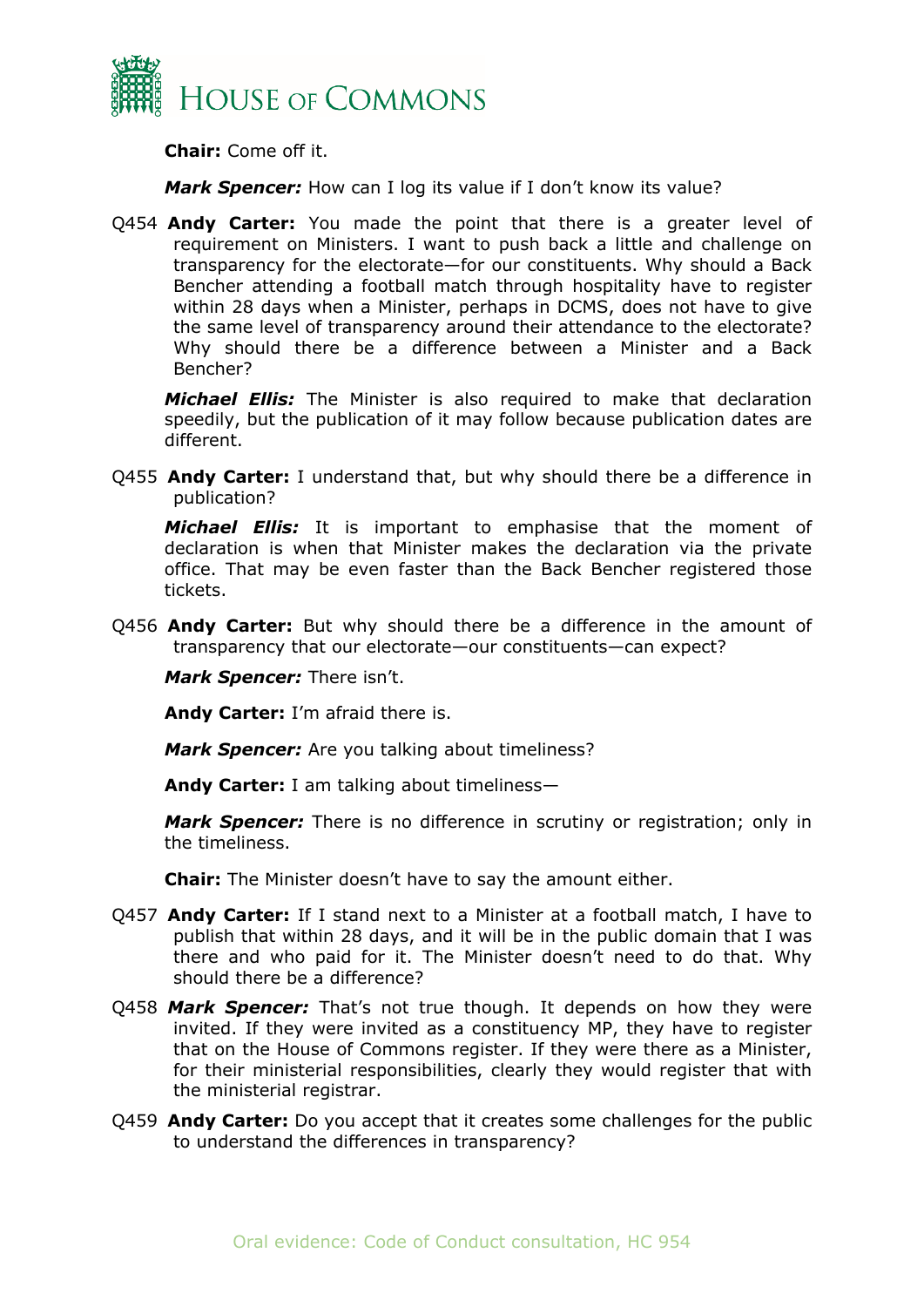

**Chair:** Come off it.

*Mark Spencer:* How can I log its value if I don't know its value?

Q454 **Andy Carter:** You made the point that there is a greater level of requirement on Ministers. I want to push back a little and challenge on transparency for the electorate—for our constituents. Why should a Back Bencher attending a football match through hospitality have to register within 28 days when a Minister, perhaps in DCMS, does not have to give the same level of transparency around their attendance to the electorate? Why should there be a difference between a Minister and a Back Bencher?

*Michael Ellis:* The Minister is also required to make that declaration speedily, but the publication of it may follow because publication dates are different.

Q455 **Andy Carter:** I understand that, but why should there be a difference in publication?

*Michael Ellis:* It is important to emphasise that the moment of declaration is when that Minister makes the declaration via the private office. That may be even faster than the Back Bencher registered those tickets.

Q456 **Andy Carter:** But why should there be a difference in the amount of transparency that our electorate—our constituents—can expect?

*Mark Spencer:* There isn't.

**Andy Carter:** I'm afraid there is.

*Mark Spencer:* Are you talking about timeliness?

**Andy Carter:** I am talking about timeliness—

*Mark Spencer:* There is no difference in scrutiny or registration; only in the timeliness.

**Chair:** The Minister doesn't have to say the amount either.

- Q457 **Andy Carter:** If I stand next to a Minister at a football match, I have to publish that within 28 days, and it will be in the public domain that I was there and who paid for it. The Minister doesn't need to do that. Why should there be a difference?
- Q458 *Mark Spencer:* That's not true though. It depends on how they were invited. If they were invited as a constituency MP, they have to register that on the House of Commons register. If they were there as a Minister, for their ministerial responsibilities, clearly they would register that with the ministerial registrar.
- Q459 **Andy Carter:** Do you accept that it creates some challenges for the public to understand the differences in transparency?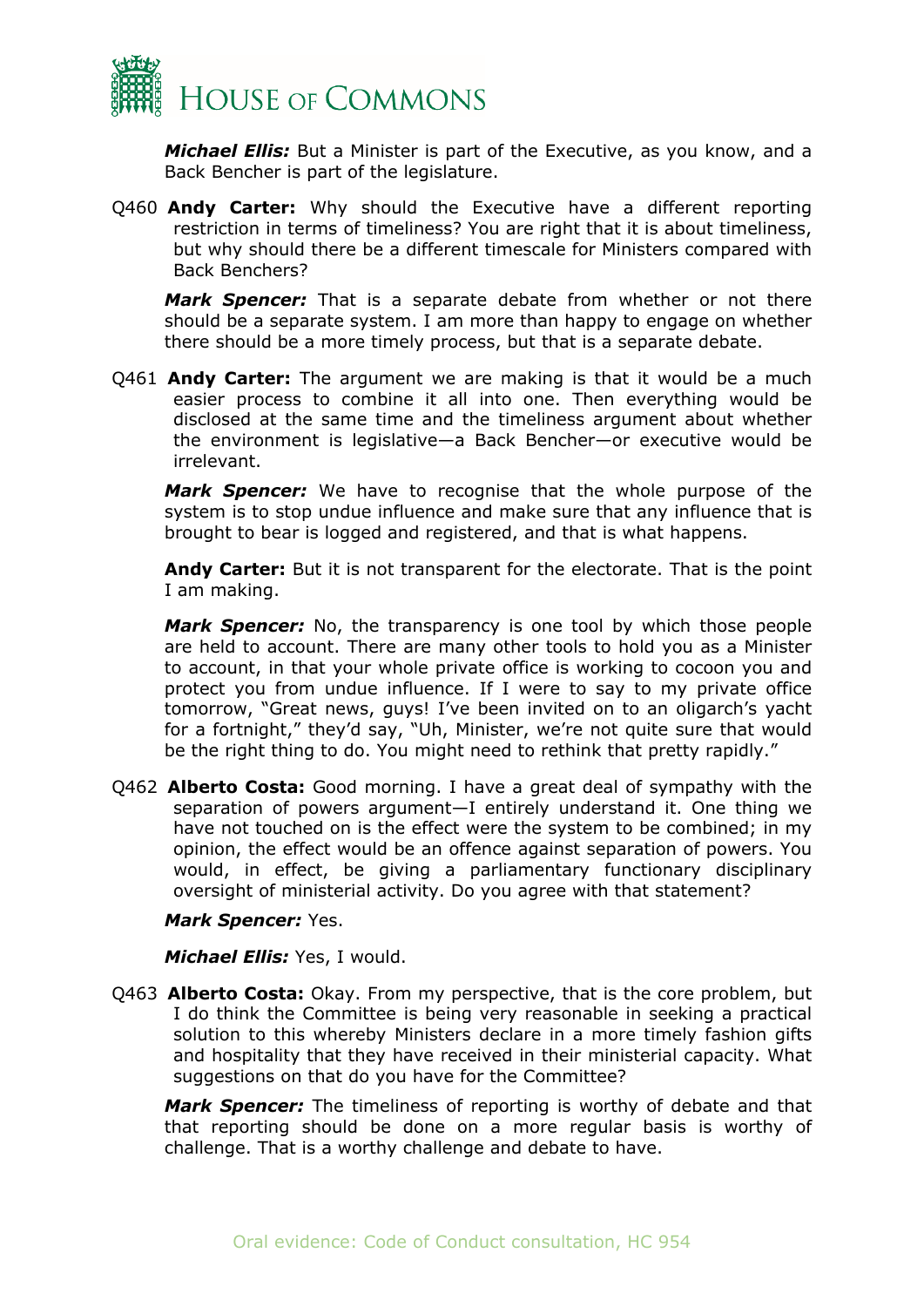

*Michael Ellis:* But a Minister is part of the Executive, as you know, and a Back Bencher is part of the legislature.

Q460 **Andy Carter:** Why should the Executive have a different reporting restriction in terms of timeliness? You are right that it is about timeliness, but why should there be a different timescale for Ministers compared with Back Benchers?

*Mark Spencer:* That is a separate debate from whether or not there should be a separate system. I am more than happy to engage on whether there should be a more timely process, but that is a separate debate.

Q461 **Andy Carter:** The argument we are making is that it would be a much easier process to combine it all into one. Then everything would be disclosed at the same time and the timeliness argument about whether the environment is legislative—a Back Bencher—or executive would be irrelevant.

*Mark Spencer:* We have to recognise that the whole purpose of the system is to stop undue influence and make sure that any influence that is brought to bear is logged and registered, and that is what happens.

**Andy Carter:** But it is not transparent for the electorate. That is the point I am making.

*Mark Spencer:* No, the transparency is one tool by which those people are held to account. There are many other tools to hold you as a Minister to account, in that your whole private office is working to cocoon you and protect you from undue influence. If I were to say to my private office tomorrow, "Great news, guys! I've been invited on to an oligarch's yacht for a fortnight," they'd say, "Uh, Minister, we're not quite sure that would be the right thing to do. You might need to rethink that pretty rapidly."

Q462 **Alberto Costa:** Good morning. I have a great deal of sympathy with the separation of powers argument—I entirely understand it. One thing we have not touched on is the effect were the system to be combined; in my opinion, the effect would be an offence against separation of powers. You would, in effect, be giving a parliamentary functionary disciplinary oversight of ministerial activity. Do you agree with that statement?

#### *Mark Spencer:* Yes.

*Michael Ellis:* Yes, I would.

Q463 **Alberto Costa:** Okay. From my perspective, that is the core problem, but I do think the Committee is being very reasonable in seeking a practical solution to this whereby Ministers declare in a more timely fashion gifts and hospitality that they have received in their ministerial capacity. What suggestions on that do you have for the Committee?

*Mark Spencer:* The timeliness of reporting is worthy of debate and that that reporting should be done on a more regular basis is worthy of challenge. That is a worthy challenge and debate to have.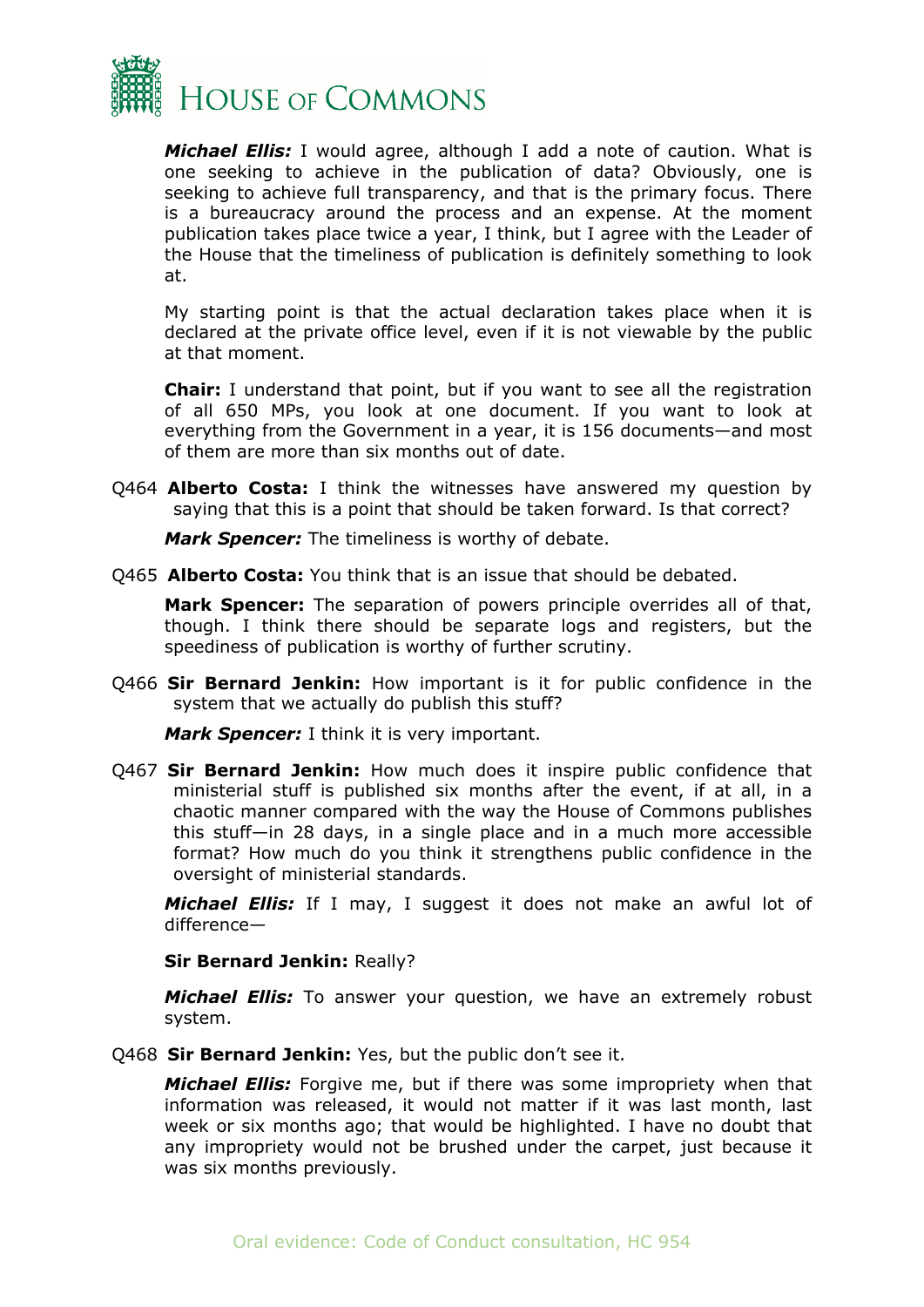

*Michael Ellis:* I would agree, although I add a note of caution. What is one seeking to achieve in the publication of data? Obviously, one is seeking to achieve full transparency, and that is the primary focus. There is a bureaucracy around the process and an expense. At the moment publication takes place twice a year, I think, but I agree with the Leader of the House that the timeliness of publication is definitely something to look at.

My starting point is that the actual declaration takes place when it is declared at the private office level, even if it is not viewable by the public at that moment.

**Chair:** I understand that point, but if you want to see all the registration of all 650 MPs, you look at one document. If you want to look at everything from the Government in a year, it is 156 documents—and most of them are more than six months out of date.

Q464 **Alberto Costa:** I think the witnesses have answered my question by saying that this is a point that should be taken forward. Is that correct?

*Mark Spencer:* The timeliness is worthy of debate.

Q465 **Alberto Costa:** You think that is an issue that should be debated.

**Mark Spencer:** The separation of powers principle overrides all of that, though. I think there should be separate logs and registers, but the speediness of publication is worthy of further scrutiny.

Q466 **Sir Bernard Jenkin:** How important is it for public confidence in the system that we actually do publish this stuff?

*Mark Spencer:* I think it is very important.

Q467 **Sir Bernard Jenkin:** How much does it inspire public confidence that ministerial stuff is published six months after the event, if at all, in a chaotic manner compared with the way the House of Commons publishes this stuff—in 28 days, in a single place and in a much more accessible format? How much do you think it strengthens public confidence in the oversight of ministerial standards.

*Michael Ellis:* If I may, I suggest it does not make an awful lot of difference—

**Sir Bernard Jenkin:** Really?

*Michael Ellis:* To answer your question, we have an extremely robust system.

Q468 **Sir Bernard Jenkin:** Yes, but the public don't see it.

*Michael Ellis:* Forgive me, but if there was some impropriety when that information was released, it would not matter if it was last month, last week or six months ago; that would be highlighted. I have no doubt that any impropriety would not be brushed under the carpet, just because it was six months previously.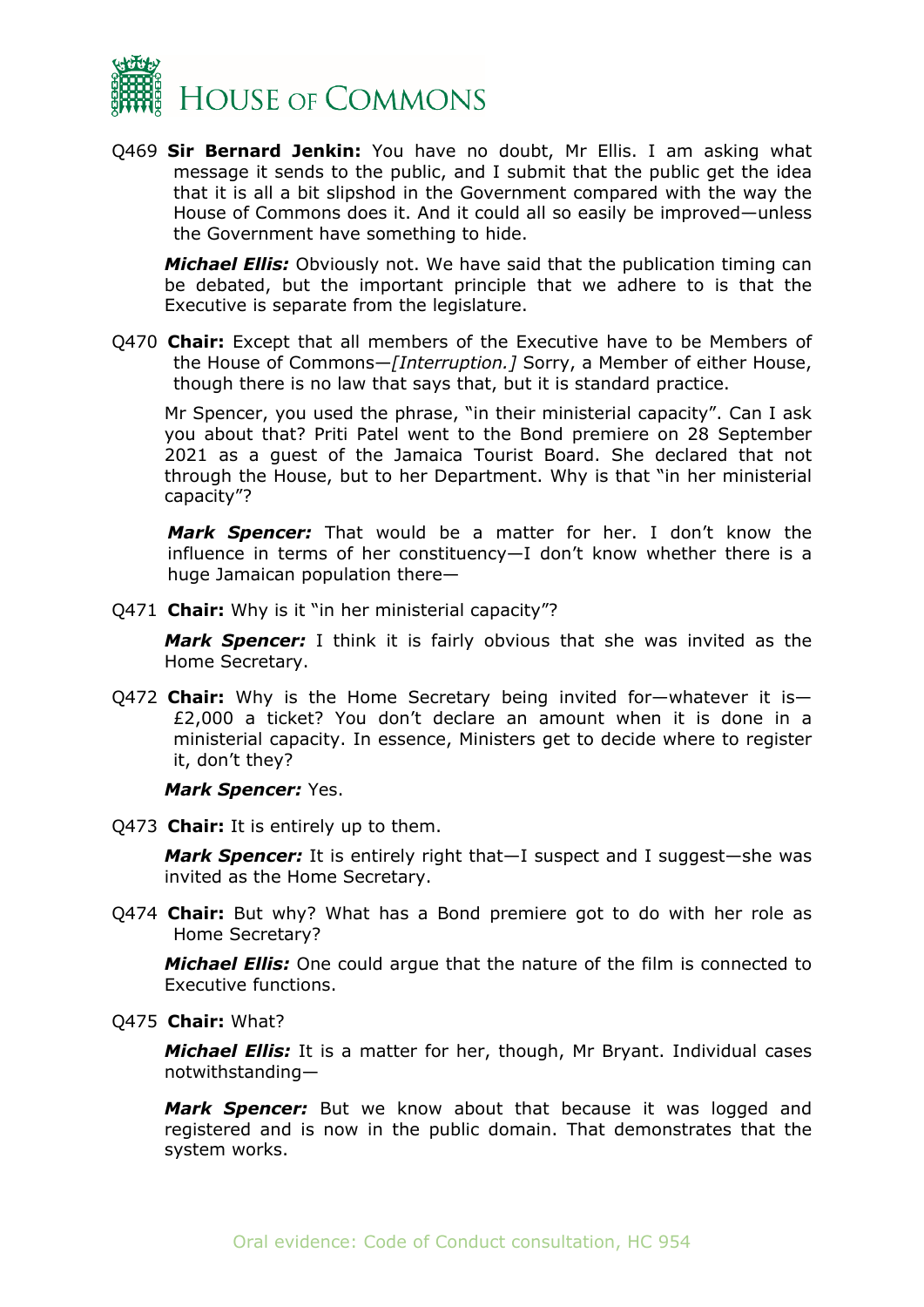

Q469 **Sir Bernard Jenkin:** You have no doubt, Mr Ellis. I am asking what message it sends to the public, and I submit that the public get the idea that it is all a bit slipshod in the Government compared with the way the House of Commons does it. And it could all so easily be improved—unless the Government have something to hide.

*Michael Ellis:* Obviously not. We have said that the publication timing can be debated, but the important principle that we adhere to is that the Executive is separate from the legislature.

Q470 **Chair:** Except that all members of the Executive have to be Members of the House of Commons—*[Interruption.]* Sorry, a Member of either House, though there is no law that says that, but it is standard practice.

Mr Spencer, you used the phrase, "in their ministerial capacity". Can I ask you about that? Priti Patel went to the Bond premiere on 28 September 2021 as a guest of the Jamaica Tourist Board. She declared that not through the House, but to her Department. Why is that "in her ministerial capacity"?

*Mark Spencer:* That would be a matter for her. I don't know the influence in terms of her constituency—I don't know whether there is a huge Jamaican population there—

Q471 **Chair:** Why is it "in her ministerial capacity"?

*Mark Spencer:* I think it is fairly obvious that she was invited as the Home Secretary.

Q472 **Chair:** Why is the Home Secretary being invited for—whatever it is— £2,000 a ticket? You don't declare an amount when it is done in a ministerial capacity. In essence, Ministers get to decide where to register it, don't they?

#### *Mark Spencer:* Yes.

Q473 **Chair:** It is entirely up to them.

*Mark Spencer:* It is entirely right that—I suspect and I suggest—she was invited as the Home Secretary.

Q474 **Chair:** But why? What has a Bond premiere got to do with her role as Home Secretary?

*Michael Ellis:* One could argue that the nature of the film is connected to Executive functions.

Q475 **Chair:** What?

*Michael Ellis:* It is a matter for her, though, Mr Bryant. Individual cases notwithstanding—

*Mark Spencer:* But we know about that because it was logged and registered and is now in the public domain. That demonstrates that the system works.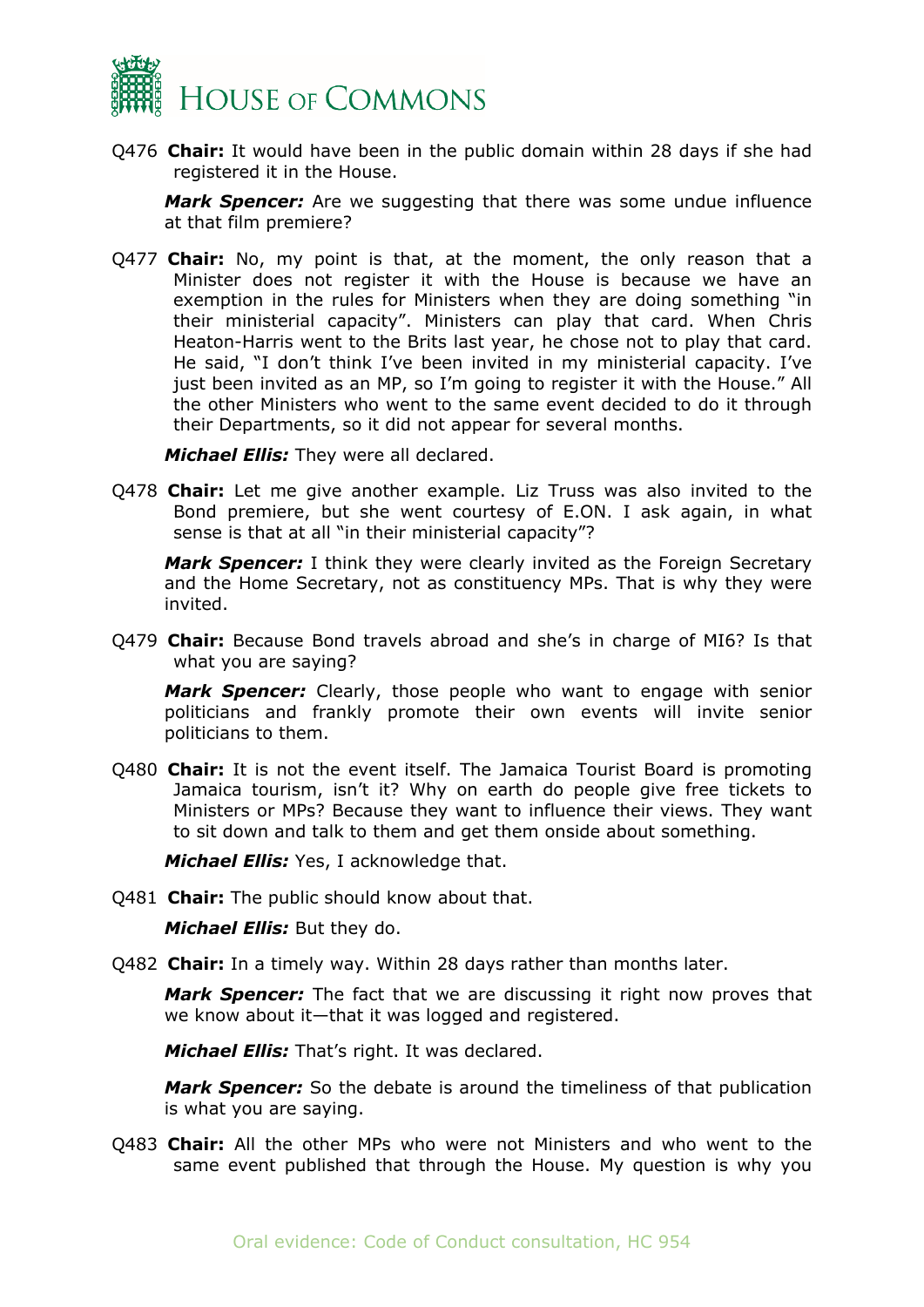

Q476 **Chair:** It would have been in the public domain within 28 days if she had registered it in the House.

*Mark Spencer:* Are we suggesting that there was some undue influence at that film premiere?

Q477 **Chair:** No, my point is that, at the moment, the only reason that a Minister does not register it with the House is because we have an exemption in the rules for Ministers when they are doing something "in their ministerial capacity". Ministers can play that card. When Chris Heaton-Harris went to the Brits last year, he chose not to play that card. He said, "I don't think I've been invited in my ministerial capacity. I've just been invited as an MP, so I'm going to register it with the House." All the other Ministers who went to the same event decided to do it through their Departments, so it did not appear for several months.

*Michael Ellis:* They were all declared.

Q478 **Chair:** Let me give another example. Liz Truss was also invited to the Bond premiere, but she went courtesy of E.ON. I ask again, in what sense is that at all "in their ministerial capacity"?

*Mark Spencer:* I think they were clearly invited as the Foreign Secretary and the Home Secretary, not as constituency MPs. That is why they were invited.

Q479 **Chair:** Because Bond travels abroad and she's in charge of MI6? Is that what you are saying?

*Mark Spencer:* Clearly, those people who want to engage with senior politicians and frankly promote their own events will invite senior politicians to them.

Q480 **Chair:** It is not the event itself. The Jamaica Tourist Board is promoting Jamaica tourism, isn't it? Why on earth do people give free tickets to Ministers or MPs? Because they want to influence their views. They want to sit down and talk to them and get them onside about something.

*Michael Ellis:* Yes, I acknowledge that.

Q481 **Chair:** The public should know about that.

*Michael Ellis:* But they do.

Q482 **Chair:** In a timely way. Within 28 days rather than months later.

*Mark Spencer:* The fact that we are discussing it right now proves that we know about it—that it was logged and registered.

*Michael Ellis:* That's right. It was declared.

*Mark Spencer:* So the debate is around the timeliness of that publication is what you are saying.

Q483 **Chair:** All the other MPs who were not Ministers and who went to the same event published that through the House. My question is why you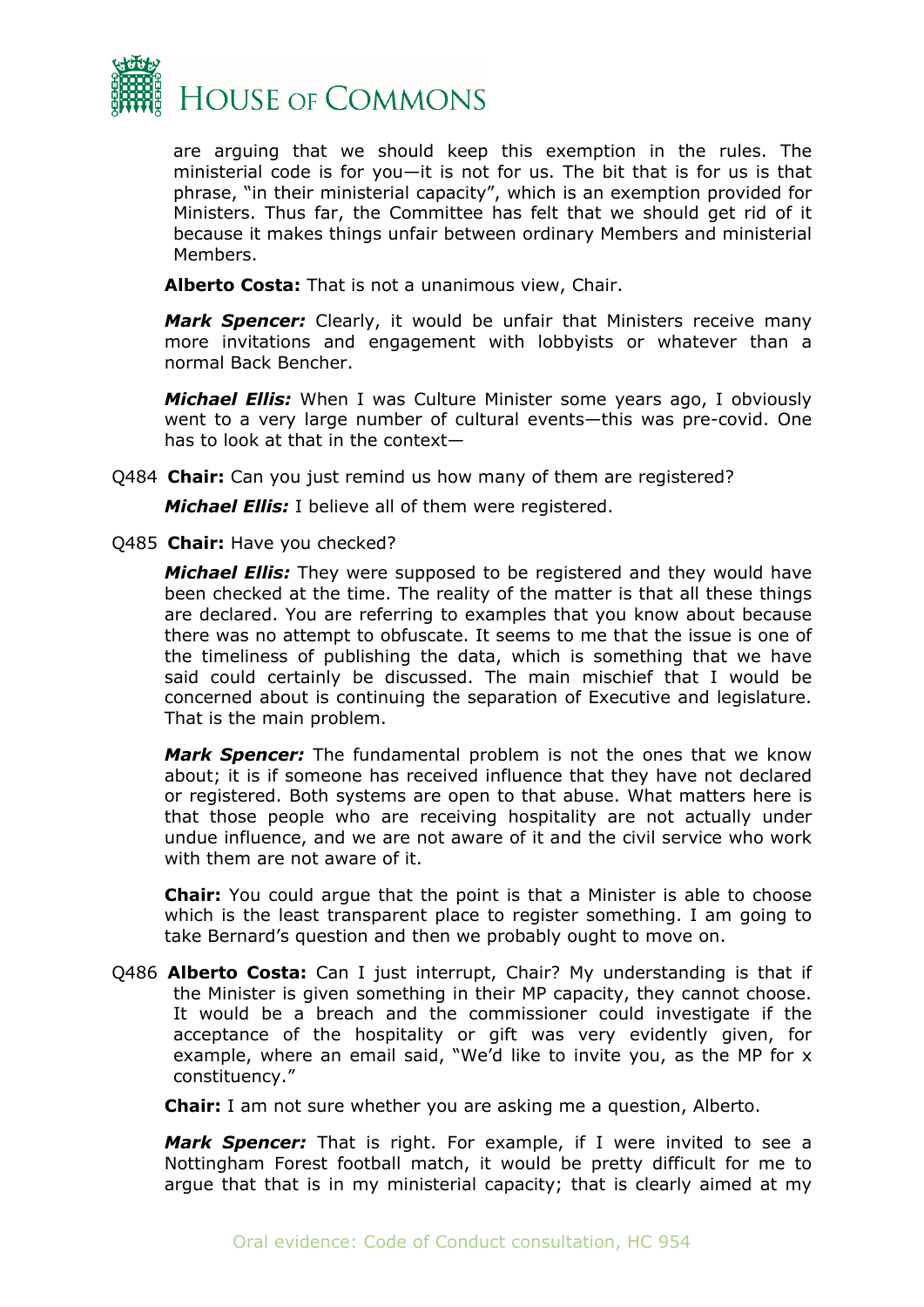

are arguing that we should keep this exemption in the rules. The ministerial code is for you—it is not for us. The bit that is for us is that phrase, "in their ministerial capacity", which is an exemption provided for Ministers. Thus far, the Committee has felt that we should get rid of it because it makes things unfair between ordinary Members and ministerial Members.

**Alberto Costa:** That is not a unanimous view, Chair.

*Mark Spencer:* Clearly, it would be unfair that Ministers receive many more invitations and engagement with lobbyists or whatever than a normal Back Bencher.

*Michael Ellis:* When I was Culture Minister some years ago, I obviously went to a very large number of cultural events—this was pre-covid. One has to look at that in the context—

Q484 **Chair:** Can you just remind us how many of them are registered?

*Michael Ellis:* I believe all of them were registered.

Q485 **Chair:** Have you checked?

*Michael Ellis:* They were supposed to be registered and they would have been checked at the time. The reality of the matter is that all these things are declared. You are referring to examples that you know about because there was no attempt to obfuscate. It seems to me that the issue is one of the timeliness of publishing the data, which is something that we have said could certainly be discussed. The main mischief that I would be concerned about is continuing the separation of Executive and legislature. That is the main problem.

*Mark Spencer:* The fundamental problem is not the ones that we know about; it is if someone has received influence that they have not declared or registered. Both systems are open to that abuse. What matters here is that those people who are receiving hospitality are not actually under undue influence, and we are not aware of it and the civil service who work with them are not aware of it.

**Chair:** You could argue that the point is that a Minister is able to choose which is the least transparent place to register something. I am going to take Bernard's question and then we probably ought to move on.

Q486 **Alberto Costa:** Can I just interrupt, Chair? My understanding is that if the Minister is given something in their MP capacity, they cannot choose. It would be a breach and the commissioner could investigate if the acceptance of the hospitality or gift was very evidently given, for example, where an email said, "We'd like to invite you, as the MP for x constituency."

**Chair:** I am not sure whether you are asking me a question, Alberto.

*Mark Spencer:* That is right. For example, if I were invited to see a Nottingham Forest football match, it would be pretty difficult for me to argue that that is in my ministerial capacity; that is clearly aimed at my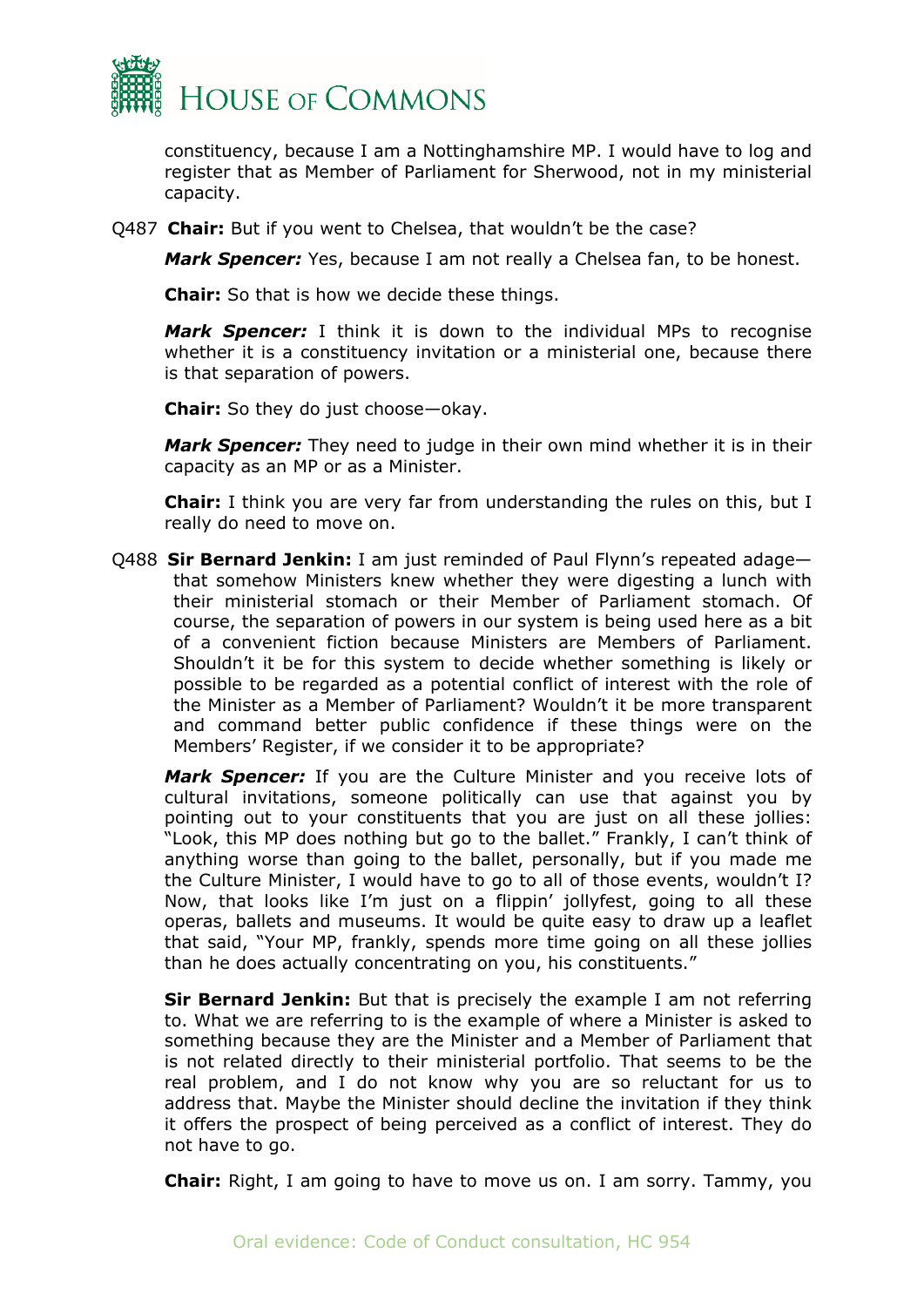

constituency, because I am a Nottinghamshire MP. I would have to log and register that as Member of Parliament for Sherwood, not in my ministerial capacity.

Q487 **Chair:** But if you went to Chelsea, that wouldn't be the case?

*Mark Spencer:* Yes, because I am not really a Chelsea fan, to be honest.

**Chair:** So that is how we decide these things.

*Mark Spencer:* I think it is down to the individual MPs to recognise whether it is a constituency invitation or a ministerial one, because there is that separation of powers.

**Chair:** So they do just choose—okay.

*Mark Spencer:* They need to judge in their own mind whether it is in their capacity as an MP or as a Minister.

**Chair:** I think you are very far from understanding the rules on this, but I really do need to move on.

Q488 **Sir Bernard Jenkin:** I am just reminded of Paul Flynn's repeated adage that somehow Ministers knew whether they were digesting a lunch with their ministerial stomach or their Member of Parliament stomach. Of course, the separation of powers in our system is being used here as a bit of a convenient fiction because Ministers are Members of Parliament. Shouldn't it be for this system to decide whether something is likely or possible to be regarded as a potential conflict of interest with the role of the Minister as a Member of Parliament? Wouldn't it be more transparent and command better public confidence if these things were on the Members' Register, if we consider it to be appropriate?

*Mark Spencer:* If you are the Culture Minister and you receive lots of cultural invitations, someone politically can use that against you by pointing out to your constituents that you are just on all these jollies: "Look, this MP does nothing but go to the ballet." Frankly, I can't think of anything worse than going to the ballet, personally, but if you made me the Culture Minister, I would have to go to all of those events, wouldn't I? Now, that looks like I'm just on a flippin' jollyfest, going to all these operas, ballets and museums. It would be quite easy to draw up a leaflet that said, "Your MP, frankly, spends more time going on all these jollies than he does actually concentrating on you, his constituents."

**Sir Bernard Jenkin:** But that is precisely the example I am not referring to. What we are referring to is the example of where a Minister is asked to something because they are the Minister and a Member of Parliament that is not related directly to their ministerial portfolio. That seems to be the real problem, and I do not know why you are so reluctant for us to address that. Maybe the Minister should decline the invitation if they think it offers the prospect of being perceived as a conflict of interest. They do not have to go.

**Chair:** Right, I am going to have to move us on. I am sorry. Tammy, you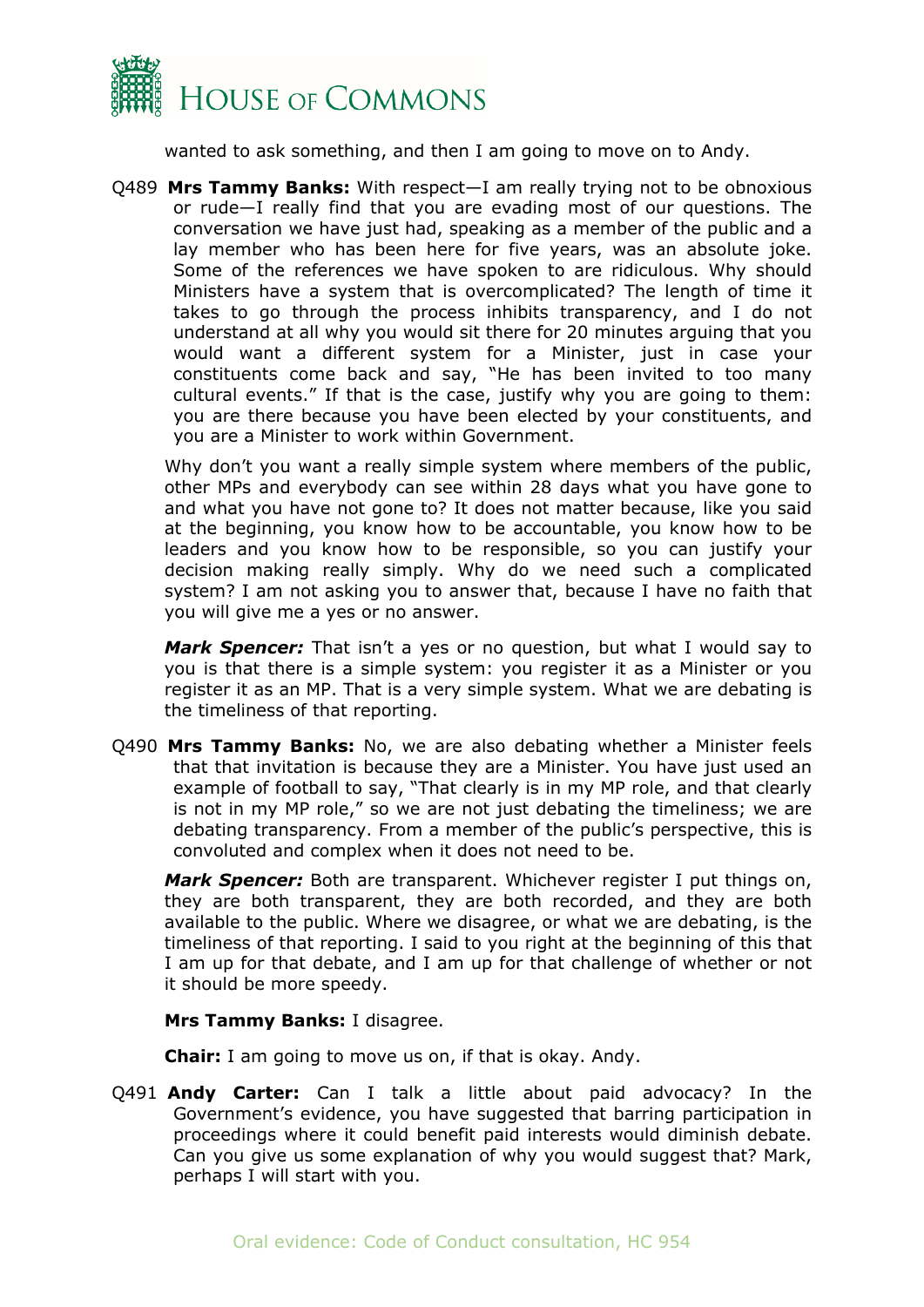

wanted to ask something, and then I am going to move on to Andy.

Q489 **Mrs Tammy Banks:** With respect—I am really trying not to be obnoxious or rude—I really find that you are evading most of our questions. The conversation we have just had, speaking as a member of the public and a lay member who has been here for five years, was an absolute joke. Some of the references we have spoken to are ridiculous. Why should Ministers have a system that is overcomplicated? The length of time it takes to go through the process inhibits transparency, and I do not understand at all why you would sit there for 20 minutes arguing that you would want a different system for a Minister, just in case your constituents come back and say, "He has been invited to too many cultural events." If that is the case, justify why you are going to them: you are there because you have been elected by your constituents, and you are a Minister to work within Government.

Why don't you want a really simple system where members of the public, other MPs and everybody can see within 28 days what you have gone to and what you have not gone to? It does not matter because, like you said at the beginning, you know how to be accountable, you know how to be leaders and you know how to be responsible, so you can justify your decision making really simply. Why do we need such a complicated system? I am not asking you to answer that, because I have no faith that you will give me a yes or no answer.

*Mark Spencer:* That isn't a yes or no question, but what I would say to you is that there is a simple system: you register it as a Minister or you register it as an MP. That is a very simple system. What we are debating is the timeliness of that reporting.

Q490 **Mrs Tammy Banks:** No, we are also debating whether a Minister feels that that invitation is because they are a Minister. You have just used an example of football to say, "That clearly is in my MP role, and that clearly is not in my MP role," so we are not just debating the timeliness; we are debating transparency. From a member of the public's perspective, this is convoluted and complex when it does not need to be.

*Mark Spencer:* Both are transparent. Whichever register I put things on, they are both transparent, they are both recorded, and they are both available to the public. Where we disagree, or what we are debating, is the timeliness of that reporting. I said to you right at the beginning of this that I am up for that debate, and I am up for that challenge of whether or not it should be more speedy.

**Mrs Tammy Banks:** I disagree.

**Chair:** I am going to move us on, if that is okay. Andy.

Q491 **Andy Carter:** Can I talk a little about paid advocacy? In the Government's evidence, you have suggested that barring participation in proceedings where it could benefit paid interests would diminish debate. Can you give us some explanation of why you would suggest that? Mark, perhaps I will start with you.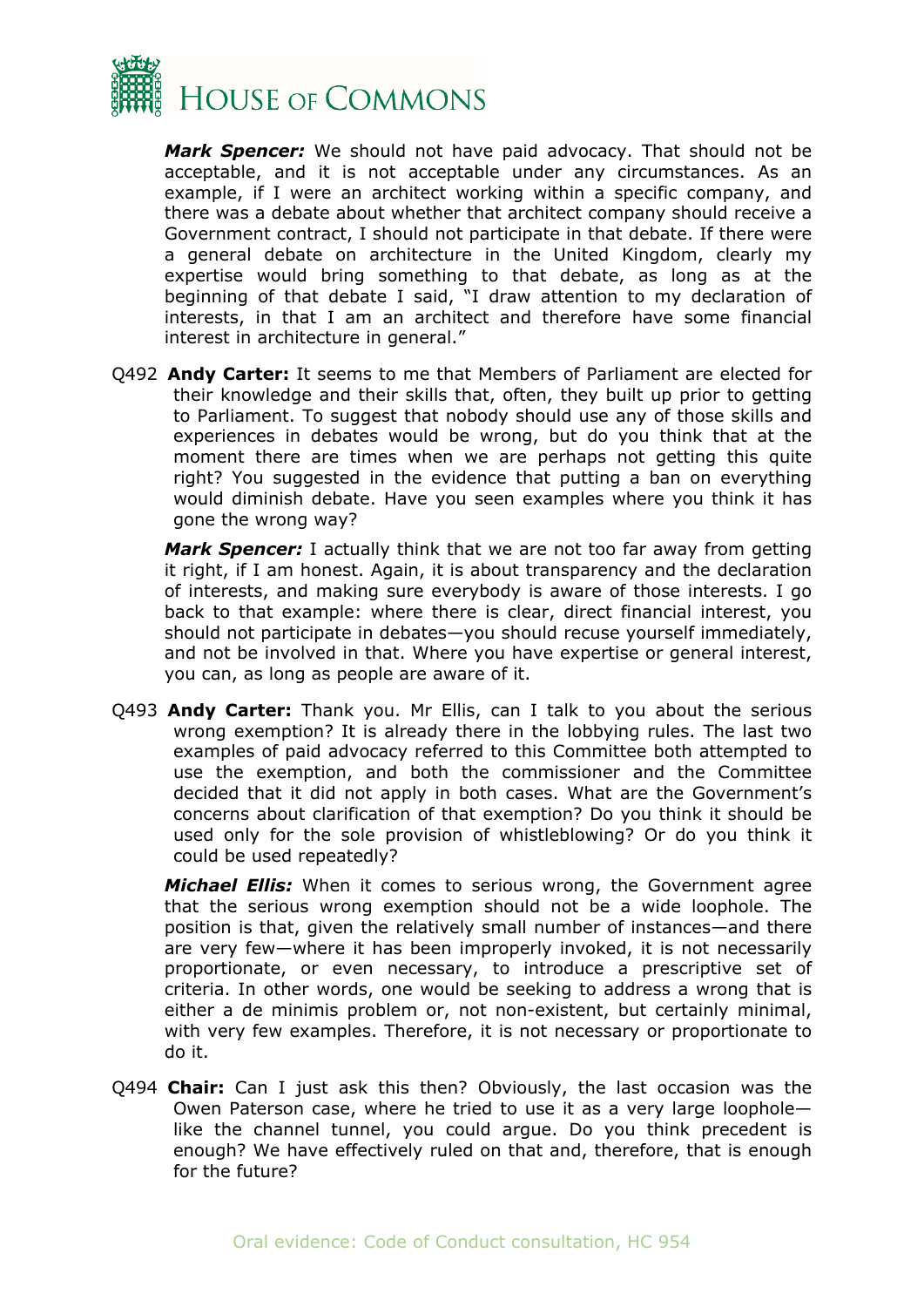

*Mark Spencer:* We should not have paid advocacy. That should not be acceptable, and it is not acceptable under any circumstances. As an example, if I were an architect working within a specific company, and there was a debate about whether that architect company should receive a Government contract, I should not participate in that debate. If there were a general debate on architecture in the United Kingdom, clearly my expertise would bring something to that debate, as long as at the beginning of that debate I said, "I draw attention to my declaration of interests, in that I am an architect and therefore have some financial interest in architecture in general."

Q492 **Andy Carter:** It seems to me that Members of Parliament are elected for their knowledge and their skills that, often, they built up prior to getting to Parliament. To suggest that nobody should use any of those skills and experiences in debates would be wrong, but do you think that at the moment there are times when we are perhaps not getting this quite right? You suggested in the evidence that putting a ban on everything would diminish debate. Have you seen examples where you think it has gone the wrong way?

*Mark Spencer:* I actually think that we are not too far away from getting it right, if I am honest. Again, it is about transparency and the declaration of interests, and making sure everybody is aware of those interests. I go back to that example: where there is clear, direct financial interest, you should not participate in debates—you should recuse yourself immediately, and not be involved in that. Where you have expertise or general interest, you can, as long as people are aware of it.

Q493 **Andy Carter:** Thank you. Mr Ellis, can I talk to you about the serious wrong exemption? It is already there in the lobbying rules. The last two examples of paid advocacy referred to this Committee both attempted to use the exemption, and both the commissioner and the Committee decided that it did not apply in both cases. What are the Government's concerns about clarification of that exemption? Do you think it should be used only for the sole provision of whistleblowing? Or do you think it could be used repeatedly?

*Michael Ellis:* When it comes to serious wrong, the Government agree that the serious wrong exemption should not be a wide loophole. The position is that, given the relatively small number of instances—and there are very few—where it has been improperly invoked, it is not necessarily proportionate, or even necessary, to introduce a prescriptive set of criteria. In other words, one would be seeking to address a wrong that is either a de minimis problem or, not non-existent, but certainly minimal, with very few examples. Therefore, it is not necessary or proportionate to do it.

Q494 **Chair:** Can I just ask this then? Obviously, the last occasion was the Owen Paterson case, where he tried to use it as a very large loophole like the channel tunnel, you could argue. Do you think precedent is enough? We have effectively ruled on that and, therefore, that is enough for the future?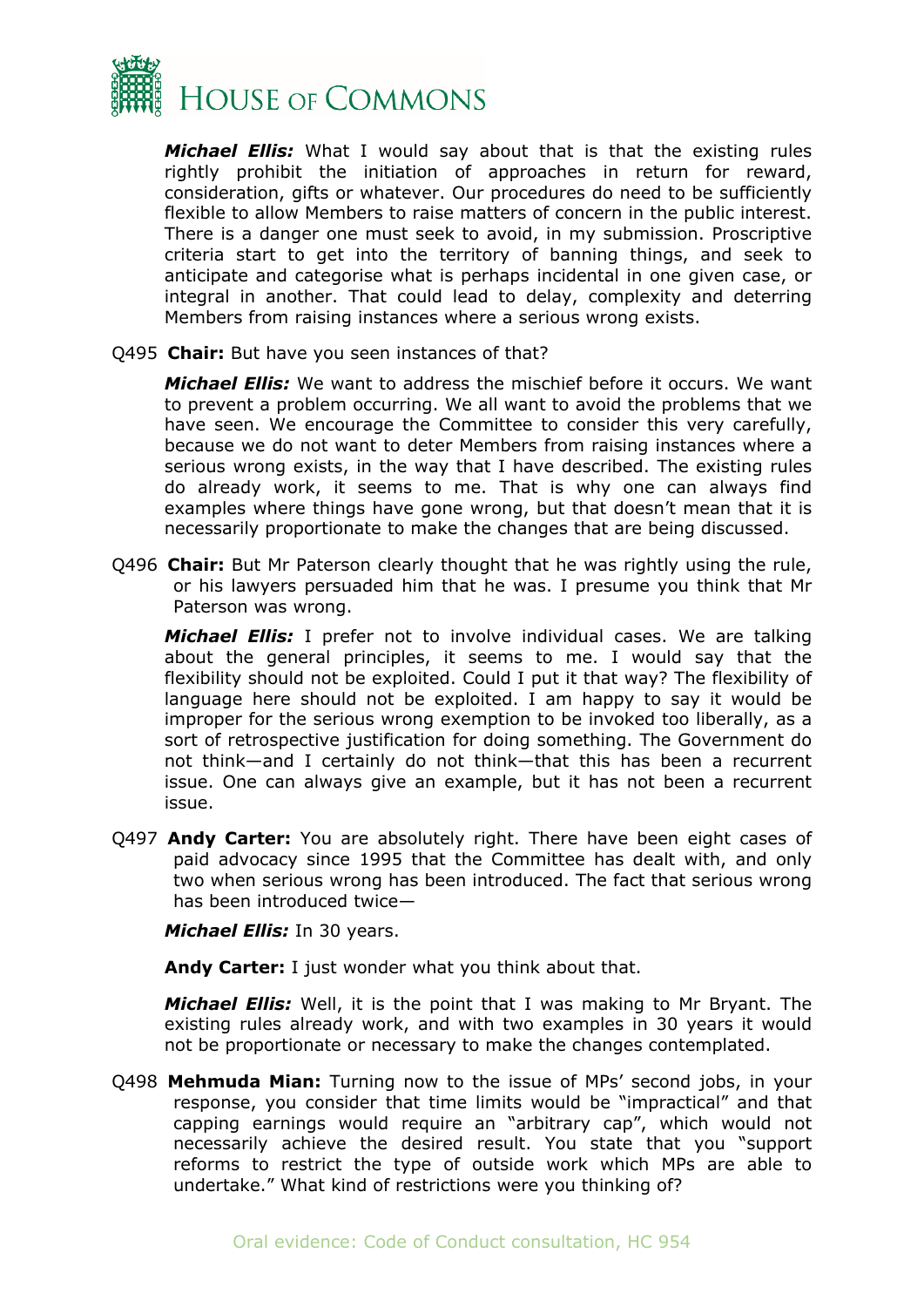

*Michael Ellis:* What I would say about that is that the existing rules rightly prohibit the initiation of approaches in return for reward, consideration, gifts or whatever. Our procedures do need to be sufficiently flexible to allow Members to raise matters of concern in the public interest. There is a danger one must seek to avoid, in my submission. Proscriptive criteria start to get into the territory of banning things, and seek to anticipate and categorise what is perhaps incidental in one given case, or integral in another. That could lead to delay, complexity and deterring Members from raising instances where a serious wrong exists.

Q495 **Chair:** But have you seen instances of that?

*Michael Ellis:* We want to address the mischief before it occurs. We want to prevent a problem occurring. We all want to avoid the problems that we have seen. We encourage the Committee to consider this very carefully, because we do not want to deter Members from raising instances where a serious wrong exists, in the way that I have described. The existing rules do already work, it seems to me. That is why one can always find examples where things have gone wrong, but that doesn't mean that it is necessarily proportionate to make the changes that are being discussed.

Q496 **Chair:** But Mr Paterson clearly thought that he was rightly using the rule, or his lawyers persuaded him that he was. I presume you think that Mr Paterson was wrong.

*Michael Ellis:* I prefer not to involve individual cases. We are talking about the general principles, it seems to me. I would say that the flexibility should not be exploited. Could I put it that way? The flexibility of language here should not be exploited. I am happy to say it would be improper for the serious wrong exemption to be invoked too liberally, as a sort of retrospective justification for doing something. The Government do not think—and I certainly do not think—that this has been a recurrent issue. One can always give an example, but it has not been a recurrent issue.

Q497 **Andy Carter:** You are absolutely right. There have been eight cases of paid advocacy since 1995 that the Committee has dealt with, and only two when serious wrong has been introduced. The fact that serious wrong has been introduced twice—

*Michael Ellis:* In 30 years.

**Andy Carter:** I just wonder what you think about that.

*Michael Ellis:* Well, it is the point that I was making to Mr Bryant. The existing rules already work, and with two examples in 30 years it would not be proportionate or necessary to make the changes contemplated.

Q498 **Mehmuda Mian:** Turning now to the issue of MPs' second jobs, in your response, you consider that time limits would be "impractical" and that capping earnings would require an "arbitrary cap", which would not necessarily achieve the desired result. You state that you "support reforms to restrict the type of outside work which MPs are able to undertake." What kind of restrictions were you thinking of?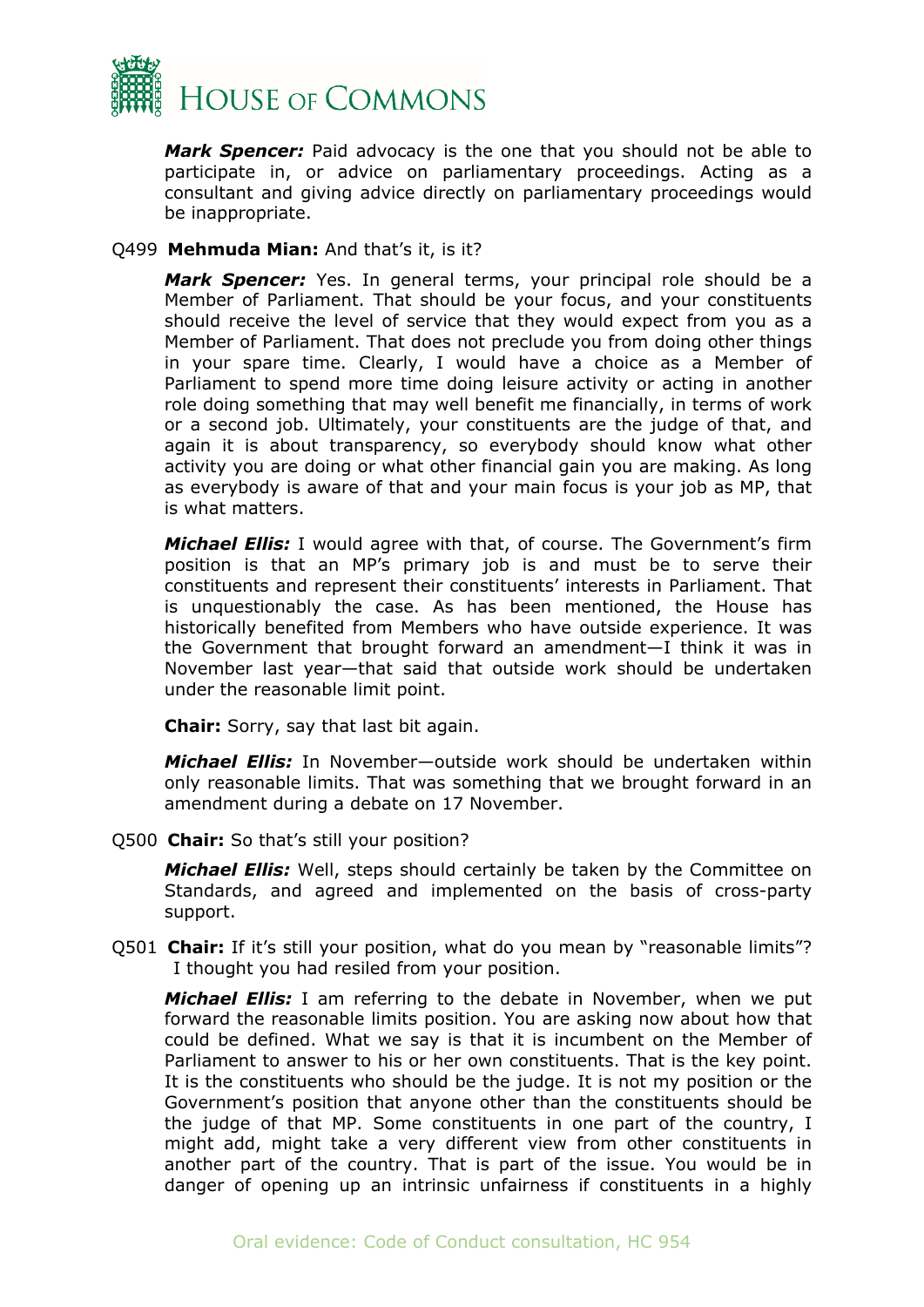

*Mark Spencer:* Paid advocacy is the one that you should not be able to participate in, or advice on parliamentary proceedings. Acting as a consultant and giving advice directly on parliamentary proceedings would be inappropriate.

#### Q499 **Mehmuda Mian:** And that's it, is it?

*Mark Spencer:* Yes. In general terms, your principal role should be a Member of Parliament. That should be your focus, and your constituents should receive the level of service that they would expect from you as a Member of Parliament. That does not preclude you from doing other things in your spare time. Clearly, I would have a choice as a Member of Parliament to spend more time doing leisure activity or acting in another role doing something that may well benefit me financially, in terms of work or a second job. Ultimately, your constituents are the judge of that, and again it is about transparency, so everybody should know what other activity you are doing or what other financial gain you are making. As long as everybody is aware of that and your main focus is your job as MP, that is what matters.

*Michael Ellis:* I would agree with that, of course. The Government's firm position is that an MP's primary job is and must be to serve their constituents and represent their constituents' interests in Parliament. That is unquestionably the case. As has been mentioned, the House has historically benefited from Members who have outside experience. It was the Government that brought forward an amendment—I think it was in November last year—that said that outside work should be undertaken under the reasonable limit point.

**Chair:** Sorry, say that last bit again.

*Michael Ellis:* In November—outside work should be undertaken within only reasonable limits. That was something that we brought forward in an amendment during a debate on 17 November.

Q500 **Chair:** So that's still your position?

*Michael Ellis:* Well, steps should certainly be taken by the Committee on Standards, and agreed and implemented on the basis of cross-party support.

Q501 **Chair:** If it's still your position, what do you mean by "reasonable limits"? I thought you had resiled from your position.

*Michael Ellis:* I am referring to the debate in November, when we put forward the reasonable limits position. You are asking now about how that could be defined. What we say is that it is incumbent on the Member of Parliament to answer to his or her own constituents. That is the key point. It is the constituents who should be the judge. It is not my position or the Government's position that anyone other than the constituents should be the judge of that MP. Some constituents in one part of the country, I might add, might take a very different view from other constituents in another part of the country. That is part of the issue. You would be in danger of opening up an intrinsic unfairness if constituents in a highly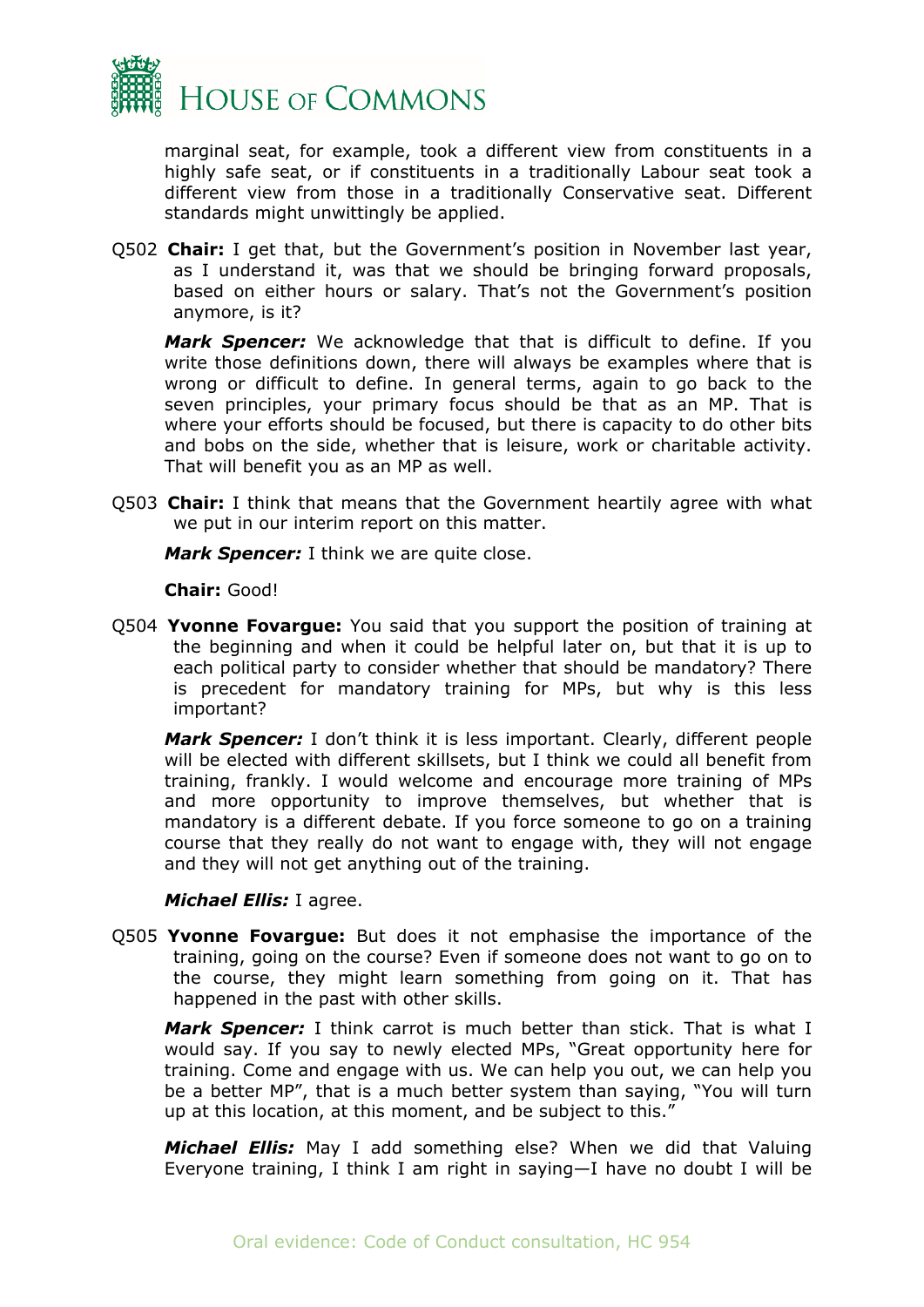

marginal seat, for example, took a different view from constituents in a highly safe seat, or if constituents in a traditionally Labour seat took a different view from those in a traditionally Conservative seat. Different standards might unwittingly be applied.

Q502 **Chair:** I get that, but the Government's position in November last year, as I understand it, was that we should be bringing forward proposals, based on either hours or salary. That's not the Government's position anymore, is it?

*Mark Spencer:* We acknowledge that that is difficult to define. If you write those definitions down, there will always be examples where that is wrong or difficult to define. In general terms, again to go back to the seven principles, your primary focus should be that as an MP. That is where your efforts should be focused, but there is capacity to do other bits and bobs on the side, whether that is leisure, work or charitable activity. That will benefit you as an MP as well.

Q503 **Chair:** I think that means that the Government heartily agree with what we put in our interim report on this matter.

*Mark Spencer:* I think we are quite close.

**Chair:** Good!

Q504 **Yvonne Fovargue:** You said that you support the position of training at the beginning and when it could be helpful later on, but that it is up to each political party to consider whether that should be mandatory? There is precedent for mandatory training for MPs, but why is this less important?

*Mark Spencer:* I don't think it is less important. Clearly, different people will be elected with different skillsets, but I think we could all benefit from training, frankly. I would welcome and encourage more training of MPs and more opportunity to improve themselves, but whether that is mandatory is a different debate. If you force someone to go on a training course that they really do not want to engage with, they will not engage and they will not get anything out of the training.

#### *Michael Ellis:* I agree.

Q505 **Yvonne Fovargue:** But does it not emphasise the importance of the training, going on the course? Even if someone does not want to go on to the course, they might learn something from going on it. That has happened in the past with other skills.

*Mark Spencer:* I think carrot is much better than stick. That is what I would say. If you say to newly elected MPs, "Great opportunity here for training. Come and engage with us. We can help you out, we can help you be a better MP", that is a much better system than saying, "You will turn up at this location, at this moment, and be subject to this."

*Michael Ellis:* May I add something else? When we did that Valuing Everyone training, I think I am right in saying—I have no doubt I will be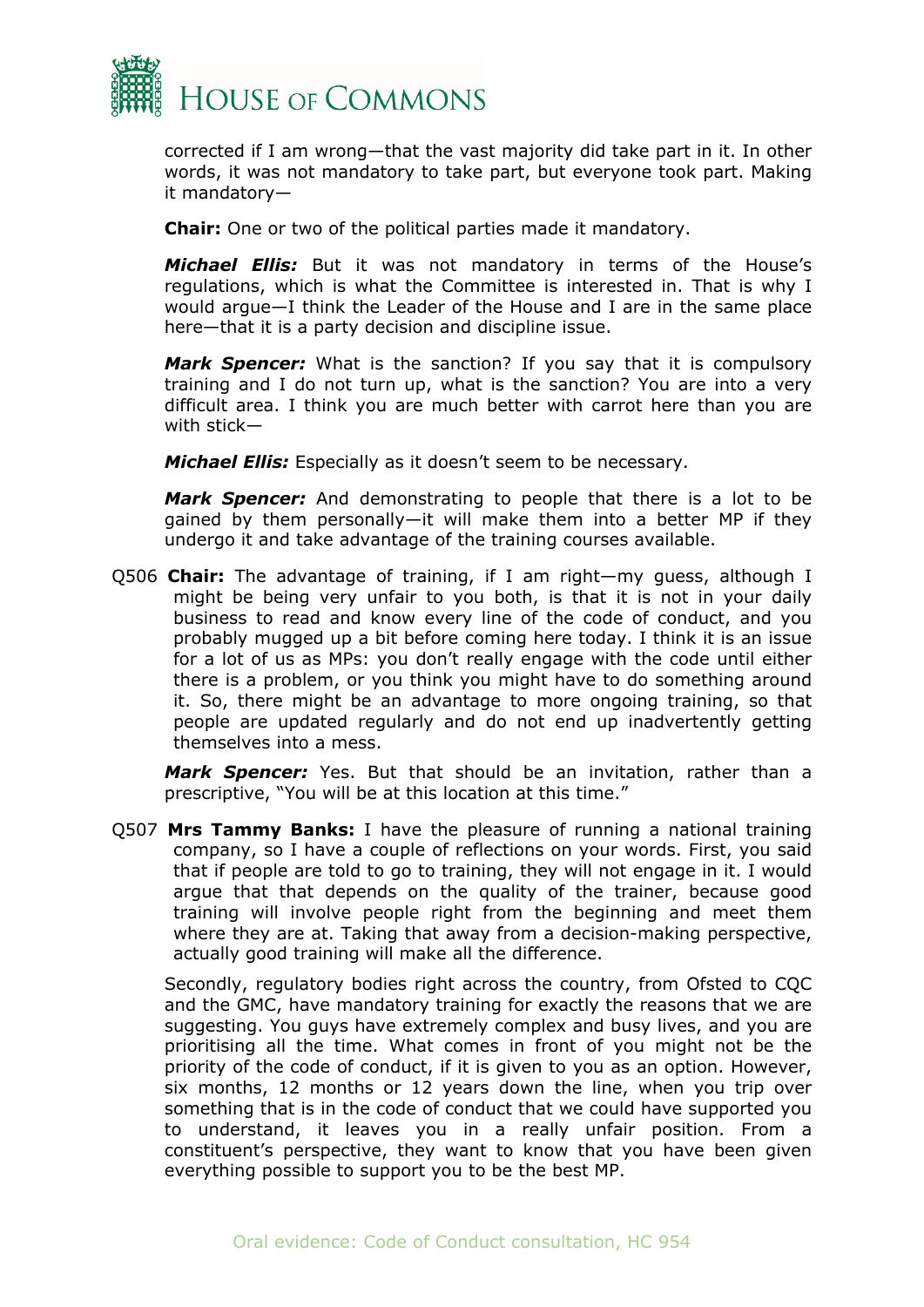

corrected if I am wrong—that the vast majority did take part in it. In other words, it was not mandatory to take part, but everyone took part. Making it mandatory—

**Chair:** One or two of the political parties made it mandatory.

*Michael Ellis:* But it was not mandatory in terms of the House's regulations, which is what the Committee is interested in. That is why I would argue—I think the Leader of the House and I are in the same place here—that it is a party decision and discipline issue.

*Mark Spencer:* What is the sanction? If you say that it is compulsory training and I do not turn up, what is the sanction? You are into a very difficult area. I think you are much better with carrot here than you are with stick—

*Michael Ellis:* Especially as it doesn't seem to be necessary.

*Mark Spencer:* And demonstrating to people that there is a lot to be gained by them personally—it will make them into a better MP if they undergo it and take advantage of the training courses available.

Q506 **Chair:** The advantage of training, if I am right—my guess, although I might be being very unfair to you both, is that it is not in your daily business to read and know every line of the code of conduct, and you probably mugged up a bit before coming here today. I think it is an issue for a lot of us as MPs: you don't really engage with the code until either there is a problem, or you think you might have to do something around it. So, there might be an advantage to more ongoing training, so that people are updated regularly and do not end up inadvertently getting themselves into a mess.

*Mark Spencer:* Yes. But that should be an invitation, rather than a prescriptive, "You will be at this location at this time."

Q507 **Mrs Tammy Banks:** I have the pleasure of running a national training company, so I have a couple of reflections on your words. First, you said that if people are told to go to training, they will not engage in it. I would argue that that depends on the quality of the trainer, because good training will involve people right from the beginning and meet them where they are at. Taking that away from a decision-making perspective, actually good training will make all the difference.

Secondly, regulatory bodies right across the country, from Ofsted to CQC and the GMC, have mandatory training for exactly the reasons that we are suggesting. You guys have extremely complex and busy lives, and you are prioritising all the time. What comes in front of you might not be the priority of the code of conduct, if it is given to you as an option. However, six months, 12 months or 12 years down the line, when you trip over something that is in the code of conduct that we could have supported you to understand, it leaves you in a really unfair position. From a constituent's perspective, they want to know that you have been given everything possible to support you to be the best MP.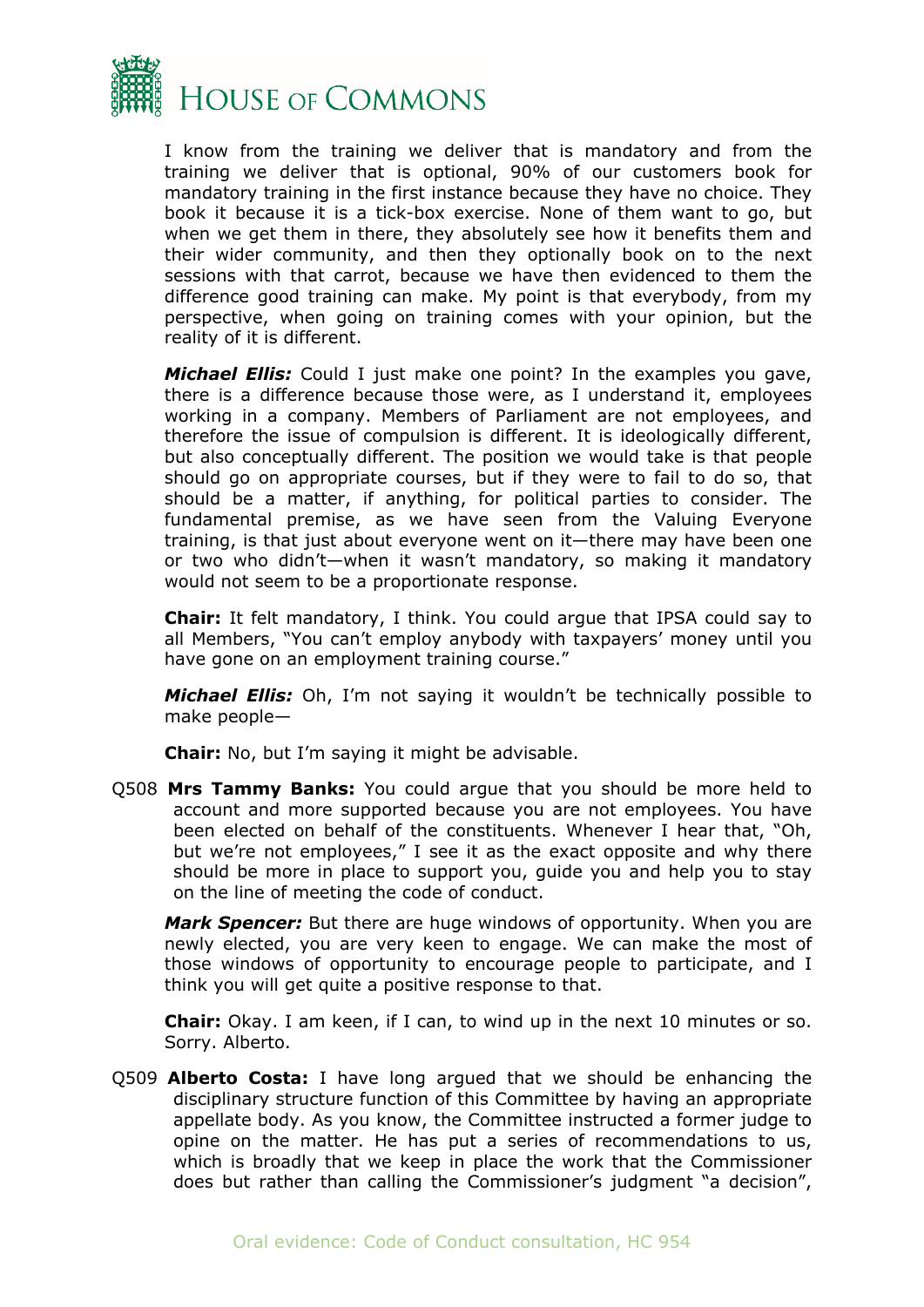

I know from the training we deliver that is mandatory and from the training we deliver that is optional, 90% of our customers book for mandatory training in the first instance because they have no choice. They book it because it is a tick-box exercise. None of them want to go, but when we get them in there, they absolutely see how it benefits them and their wider community, and then they optionally book on to the next sessions with that carrot, because we have then evidenced to them the difference good training can make. My point is that everybody, from my perspective, when going on training comes with your opinion, but the reality of it is different.

*Michael Ellis:* Could I just make one point? In the examples you gave, there is a difference because those were, as I understand it, employees working in a company. Members of Parliament are not employees, and therefore the issue of compulsion is different. It is ideologically different, but also conceptually different. The position we would take is that people should go on appropriate courses, but if they were to fail to do so, that should be a matter, if anything, for political parties to consider. The fundamental premise, as we have seen from the Valuing Everyone training, is that just about everyone went on it—there may have been one or two who didn't—when it wasn't mandatory, so making it mandatory would not seem to be a proportionate response.

**Chair:** It felt mandatory, I think. You could argue that IPSA could say to all Members, "You can't employ anybody with taxpayers' money until you have gone on an employment training course."

*Michael Ellis:* Oh, I'm not saying it wouldn't be technically possible to make people—

**Chair:** No, but I'm saying it might be advisable.

Q508 **Mrs Tammy Banks:** You could argue that you should be more held to account and more supported because you are not employees. You have been elected on behalf of the constituents. Whenever I hear that, "Oh, but we're not employees," I see it as the exact opposite and why there should be more in place to support you, guide you and help you to stay on the line of meeting the code of conduct.

*Mark Spencer:* But there are huge windows of opportunity. When you are newly elected, you are very keen to engage. We can make the most of those windows of opportunity to encourage people to participate, and I think you will get quite a positive response to that.

**Chair:** Okay. I am keen, if I can, to wind up in the next 10 minutes or so. Sorry. Alberto.

Q509 **Alberto Costa:** I have long argued that we should be enhancing the disciplinary structure function of this Committee by having an appropriate appellate body. As you know, the Committee instructed a former judge to opine on the matter. He has put a series of recommendations to us, which is broadly that we keep in place the work that the Commissioner does but rather than calling the Commissioner's judgment "a decision",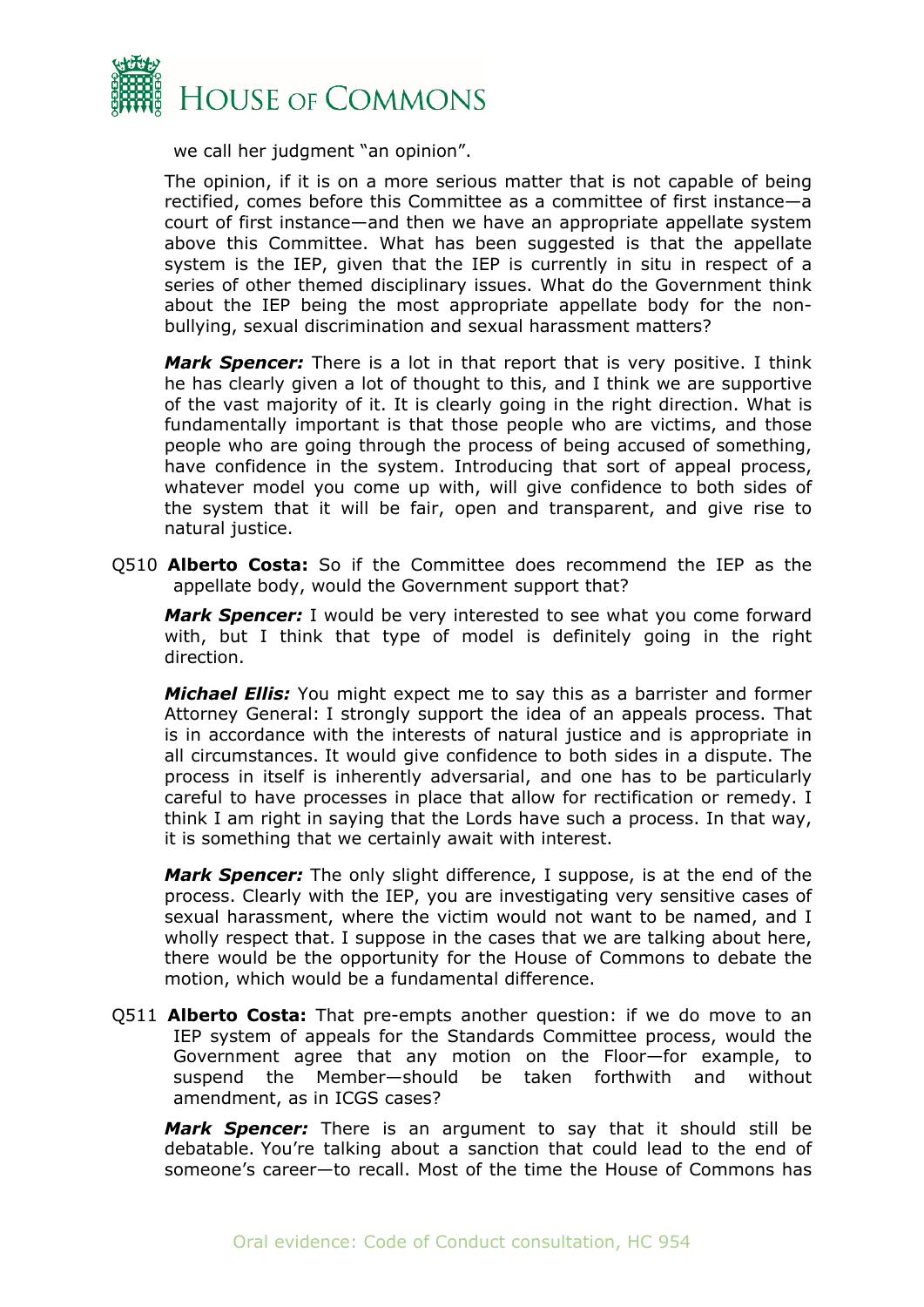

we call her judgment "an opinion".

The opinion, if it is on a more serious matter that is not capable of being rectified, comes before this Committee as a committee of first instance—a court of first instance—and then we have an appropriate appellate system above this Committee. What has been suggested is that the appellate system is the IEP, given that the IEP is currently in situ in respect of a series of other themed disciplinary issues. What do the Government think about the IEP being the most appropriate appellate body for the nonbullying, sexual discrimination and sexual harassment matters?

*Mark Spencer:* There is a lot in that report that is very positive. I think he has clearly given a lot of thought to this, and I think we are supportive of the vast majority of it. It is clearly going in the right direction. What is fundamentally important is that those people who are victims, and those people who are going through the process of being accused of something, have confidence in the system. Introducing that sort of appeal process, whatever model you come up with, will give confidence to both sides of the system that it will be fair, open and transparent, and give rise to natural justice.

Q510 **Alberto Costa:** So if the Committee does recommend the IEP as the appellate body, would the Government support that?

*Mark Spencer:* I would be very interested to see what you come forward with, but I think that type of model is definitely going in the right direction.

*Michael Ellis:* You might expect me to say this as a barrister and former Attorney General: I strongly support the idea of an appeals process. That is in accordance with the interests of natural justice and is appropriate in all circumstances. It would give confidence to both sides in a dispute. The process in itself is inherently adversarial, and one has to be particularly careful to have processes in place that allow for rectification or remedy. I think I am right in saying that the Lords have such a process. In that way, it is something that we certainly await with interest.

*Mark Spencer:* The only slight difference, I suppose, is at the end of the process. Clearly with the IEP, you are investigating very sensitive cases of sexual harassment, where the victim would not want to be named, and I wholly respect that. I suppose in the cases that we are talking about here, there would be the opportunity for the House of Commons to debate the motion, which would be a fundamental difference.

Q511 **Alberto Costa:** That pre-empts another question: if we do move to an IEP system of appeals for the Standards Committee process, would the Government agree that any motion on the Floor—for example, to suspend the Member—should be taken forthwith and without amendment, as in ICGS cases?

*Mark Spencer:* There is an argument to say that it should still be debatable. You're talking about a sanction that could lead to the end of someone's career—to recall. Most of the time the House of Commons has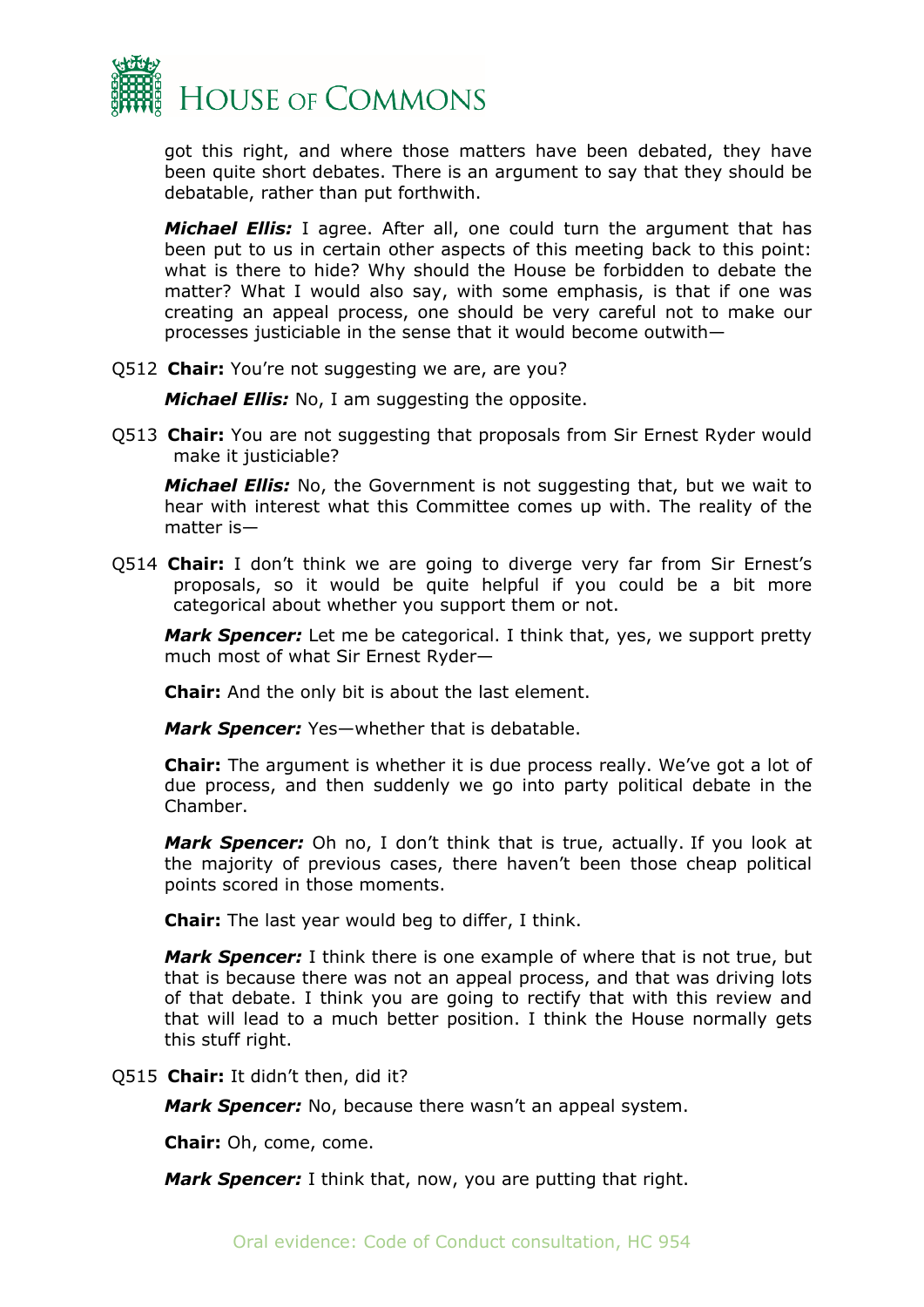

got this right, and where those matters have been debated, they have been quite short debates. There is an argument to say that they should be debatable, rather than put forthwith.

*Michael Ellis:* I agree. After all, one could turn the argument that has been put to us in certain other aspects of this meeting back to this point: what is there to hide? Why should the House be forbidden to debate the matter? What I would also say, with some emphasis, is that if one was creating an appeal process, one should be very careful not to make our processes justiciable in the sense that it would become outwith—

Q512 **Chair:** You're not suggesting we are, are you?

*Michael Ellis:* No, I am suggesting the opposite.

Q513 **Chair:** You are not suggesting that proposals from Sir Ernest Ryder would make it justiciable?

*Michael Ellis:* No, the Government is not suggesting that, but we wait to hear with interest what this Committee comes up with. The reality of the matter is—

Q514 **Chair:** I don't think we are going to diverge very far from Sir Ernest's proposals, so it would be quite helpful if you could be a bit more categorical about whether you support them or not.

*Mark Spencer:* Let me be categorical. I think that, yes, we support pretty much most of what Sir Ernest Ryder—

**Chair:** And the only bit is about the last element.

*Mark Spencer:* Yes—whether that is debatable.

**Chair:** The argument is whether it is due process really. We've got a lot of due process, and then suddenly we go into party political debate in the Chamber.

*Mark Spencer:* Oh no, I don't think that is true, actually. If you look at the majority of previous cases, there haven't been those cheap political points scored in those moments.

**Chair:** The last year would beg to differ, I think.

*Mark Spencer:* I think there is one example of where that is not true, but that is because there was not an appeal process, and that was driving lots of that debate. I think you are going to rectify that with this review and that will lead to a much better position. I think the House normally gets this stuff right.

Q515 **Chair:** It didn't then, did it?

*Mark Spencer:* No, because there wasn't an appeal system.

**Chair:** Oh, come, come.

*Mark Spencer:* I think that, now, you are putting that right.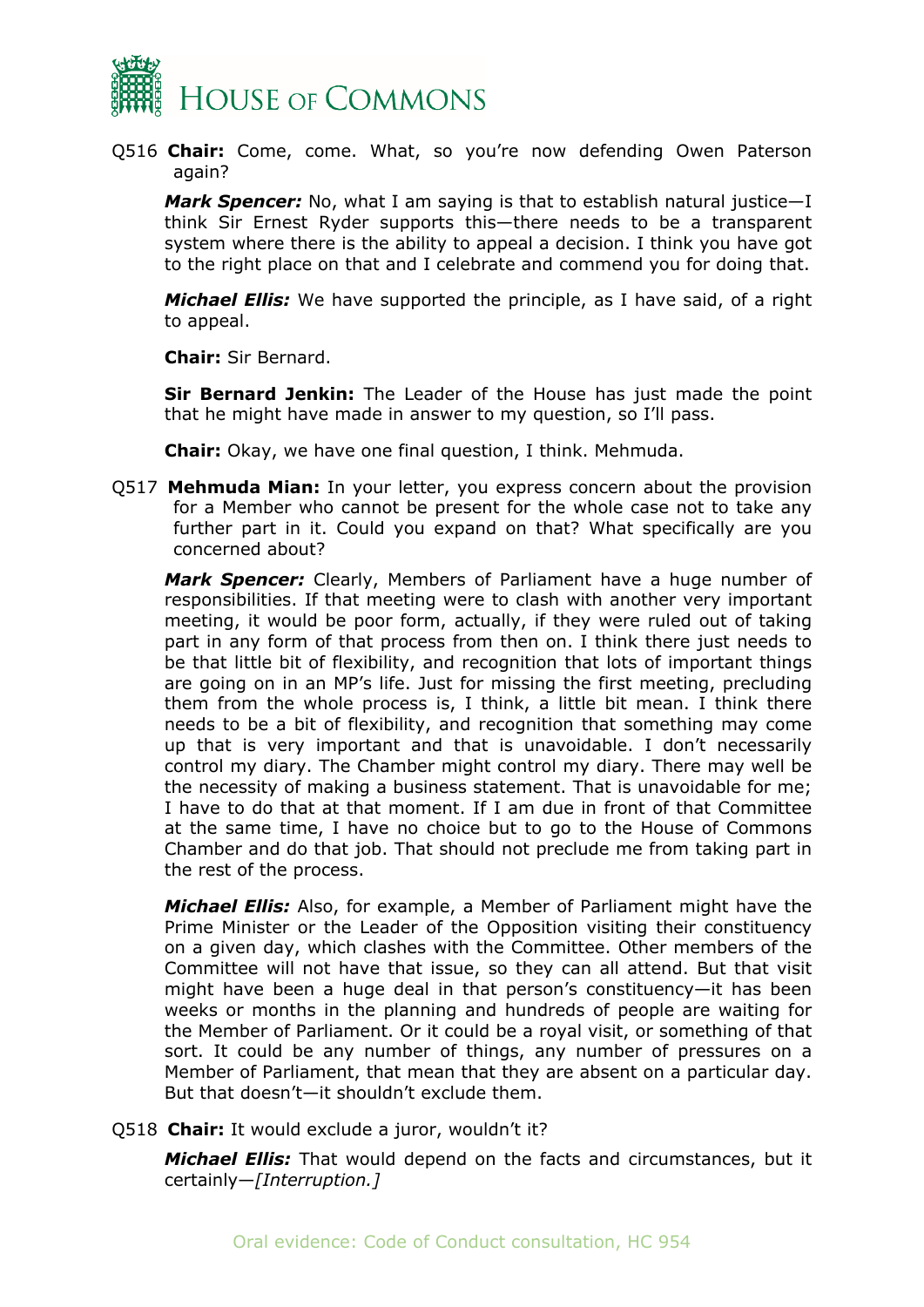

Q516 **Chair:** Come, come. What, so you're now defending Owen Paterson again?

*Mark Spencer:* No, what I am saying is that to establish natural justice—I think Sir Ernest Ryder supports this—there needs to be a transparent system where there is the ability to appeal a decision. I think you have got to the right place on that and I celebrate and commend you for doing that.

*Michael Ellis:* We have supported the principle, as I have said, of a right to appeal.

**Chair:** Sir Bernard.

**Sir Bernard Jenkin:** The Leader of the House has just made the point that he might have made in answer to my question, so I'll pass.

**Chair:** Okay, we have one final question, I think. Mehmuda.

Q517 **Mehmuda Mian:** In your letter, you express concern about the provision for a Member who cannot be present for the whole case not to take any further part in it. Could you expand on that? What specifically are you concerned about?

*Mark Spencer:* Clearly, Members of Parliament have a huge number of responsibilities. If that meeting were to clash with another very important meeting, it would be poor form, actually, if they were ruled out of taking part in any form of that process from then on. I think there just needs to be that little bit of flexibility, and recognition that lots of important things are going on in an MP's life. Just for missing the first meeting, precluding them from the whole process is, I think, a little bit mean. I think there needs to be a bit of flexibility, and recognition that something may come up that is very important and that is unavoidable. I don't necessarily control my diary. The Chamber might control my diary. There may well be the necessity of making a business statement. That is unavoidable for me; I have to do that at that moment. If I am due in front of that Committee at the same time, I have no choice but to go to the House of Commons Chamber and do that job. That should not preclude me from taking part in the rest of the process.

*Michael Ellis:* Also, for example, a Member of Parliament might have the Prime Minister or the Leader of the Opposition visiting their constituency on a given day, which clashes with the Committee. Other members of the Committee will not have that issue, so they can all attend. But that visit might have been a huge deal in that person's constituency—it has been weeks or months in the planning and hundreds of people are waiting for the Member of Parliament. Or it could be a royal visit, or something of that sort. It could be any number of things, any number of pressures on a Member of Parliament, that mean that they are absent on a particular day. But that doesn't—it shouldn't exclude them.

Q518 **Chair:** It would exclude a juror, wouldn't it?

*Michael Ellis:* That would depend on the facts and circumstances, but it certainly—*[Interruption.]*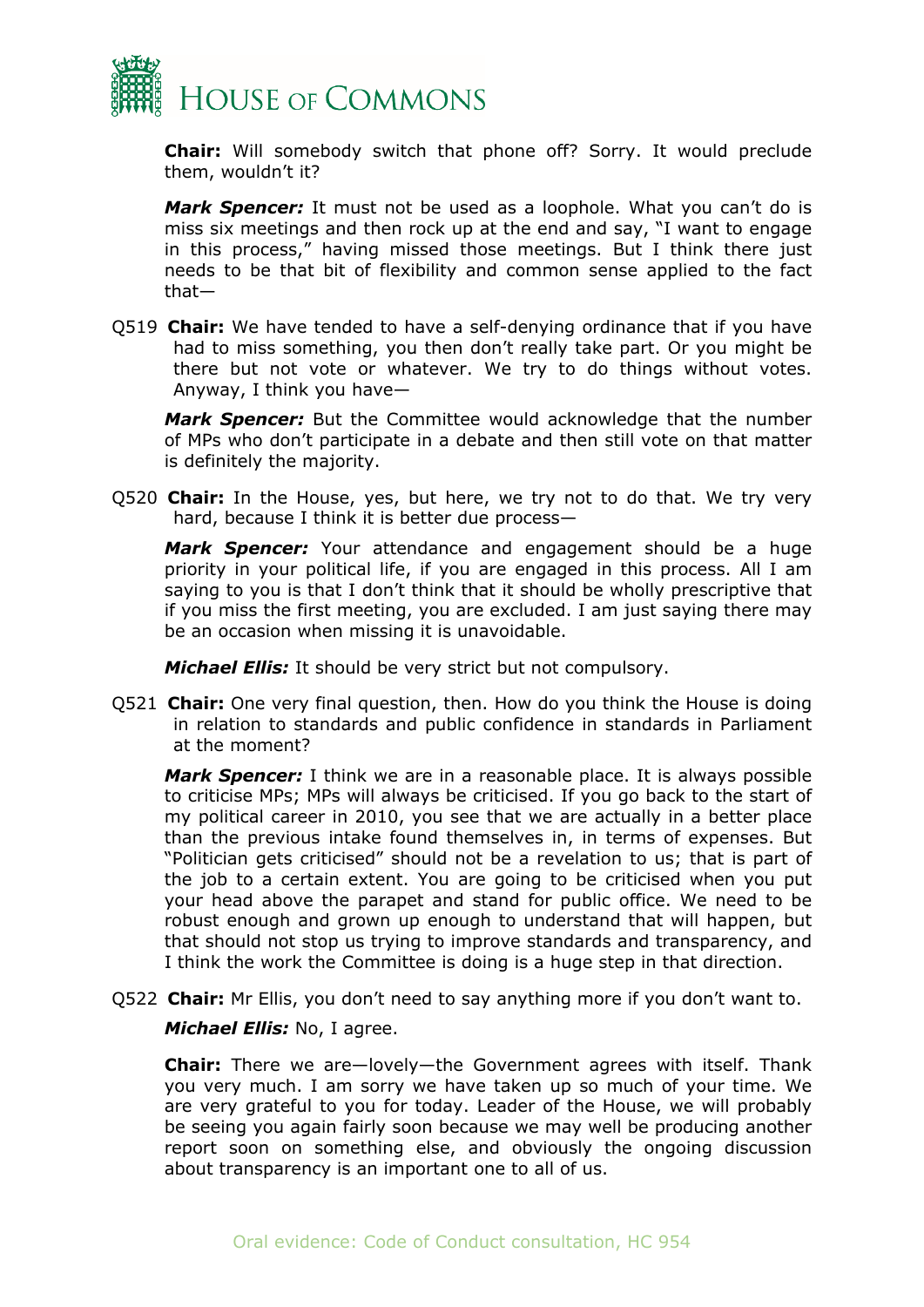

**Chair:** Will somebody switch that phone off? Sorry. It would preclude them, wouldn't it?

*Mark Spencer:* It must not be used as a loophole. What you can't do is miss six meetings and then rock up at the end and say, "I want to engage in this process," having missed those meetings. But I think there just needs to be that bit of flexibility and common sense applied to the fact that—

Q519 **Chair:** We have tended to have a self-denying ordinance that if you have had to miss something, you then don't really take part. Or you might be there but not vote or whatever. We try to do things without votes. Anyway, I think you have—

*Mark Spencer:* But the Committee would acknowledge that the number of MPs who don't participate in a debate and then still vote on that matter is definitely the majority.

Q520 **Chair:** In the House, yes, but here, we try not to do that. We try very hard, because I think it is better due process—

*Mark Spencer:* Your attendance and engagement should be a huge priority in your political life, if you are engaged in this process. All I am saying to you is that I don't think that it should be wholly prescriptive that if you miss the first meeting, you are excluded. I am just saying there may be an occasion when missing it is unavoidable.

*Michael Ellis:* It should be very strict but not compulsory.

Q521 **Chair:** One very final question, then. How do you think the House is doing in relation to standards and public confidence in standards in Parliament at the moment?

*Mark Spencer:* I think we are in a reasonable place. It is always possible to criticise MPs; MPs will always be criticised. If you go back to the start of my political career in 2010, you see that we are actually in a better place than the previous intake found themselves in, in terms of expenses. But "Politician gets criticised" should not be a revelation to us; that is part of the job to a certain extent. You are going to be criticised when you put your head above the parapet and stand for public office. We need to be robust enough and grown up enough to understand that will happen, but that should not stop us trying to improve standards and transparency, and I think the work the Committee is doing is a huge step in that direction.

Q522 **Chair:** Mr Ellis, you don't need to say anything more if you don't want to.

*Michael Ellis:* No, I agree.

**Chair:** There we are—lovely—the Government agrees with itself. Thank you very much. I am sorry we have taken up so much of your time. We are very grateful to you for today. Leader of the House, we will probably be seeing you again fairly soon because we may well be producing another report soon on something else, and obviously the ongoing discussion about transparency is an important one to all of us.